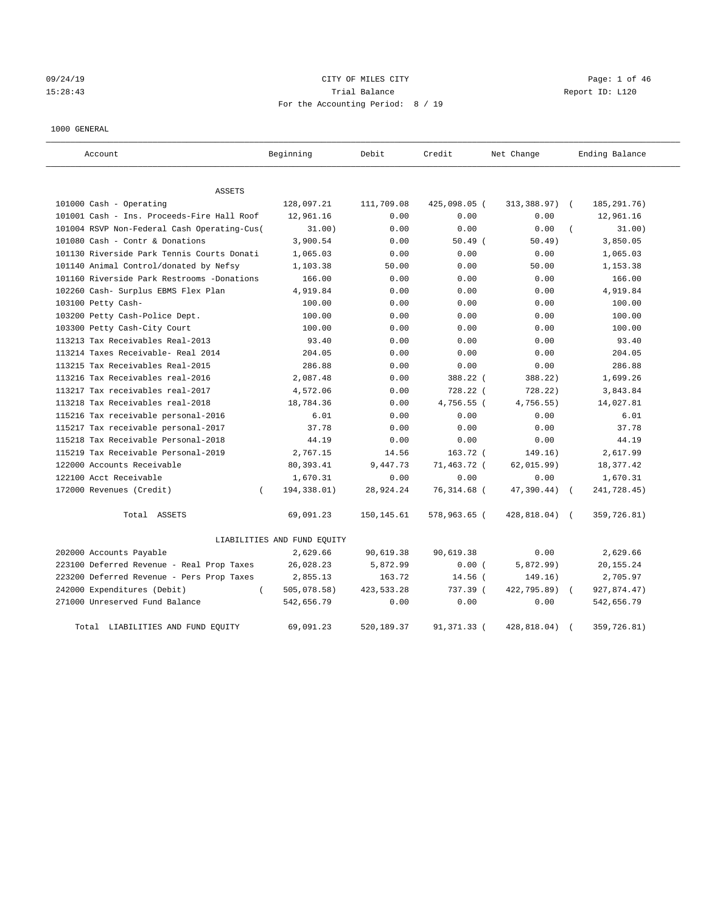09/24/19 Page: 1 of 46 15:28:43 Trial Balance Report ID: L120 For the Accounting Period: 8 / 19

#### 1000 GENERAL

| Account                                     | Beginning                   | Debit        | Credit       | Net Change    | Ending Balance              |
|---------------------------------------------|-----------------------------|--------------|--------------|---------------|-----------------------------|
| ASSETS                                      |                             |              |              |               |                             |
| 101000 Cash - Operating                     | 128,097.21                  | 111,709.08   | 425,098.05 ( | 313,388.97)   | 185, 291. 76)<br>$\sqrt{2}$ |
| 101001 Cash - Ins. Proceeds-Fire Hall Roof  | 12,961.16                   | 0.00         | 0.00         | 0.00          | 12,961.16                   |
| 101004 RSVP Non-Federal Cash Operating-Cus( | 31.00)                      | 0.00         | 0.00         | 0.00          | 31.00)                      |
| 101080 Cash - Contr & Donations             | 3,900.54                    | 0.00         | $50.49$ (    | 50.49)        | 3,850.05                    |
| 101130 Riverside Park Tennis Courts Donati  | 1,065.03                    | 0.00         | 0.00         | 0.00          | 1,065.03                    |
| 101140 Animal Control/donated by Nefsy      | 1,103.38                    | 50.00        | 0.00         | 50.00         | 1,153.38                    |
| 101160 Riverside Park Restrooms -Donations  | 166.00                      | 0.00         | 0.00         | 0.00          | 166.00                      |
| 102260 Cash- Surplus EBMS Flex Plan         | 4,919.84                    | 0.00         | 0.00         | 0.00          | 4,919.84                    |
| 103100 Petty Cash-                          | 100.00                      | 0.00         | 0.00         | 0.00          | 100.00                      |
| 103200 Petty Cash-Police Dept.              | 100.00                      | 0.00         | 0.00         | 0.00          | 100.00                      |
| 103300 Petty Cash-City Court                | 100.00                      | 0.00         | 0.00         | 0.00          | 100.00                      |
| 113213 Tax Receivables Real-2013            | 93.40                       | 0.00         | 0.00         | 0.00          | 93.40                       |
| 113214 Taxes Receivable- Real 2014          | 204.05                      | 0.00         | 0.00         | 0.00          | 204.05                      |
| 113215 Tax Receivables Real-2015            | 286.88                      | 0.00         | 0.00         | 0.00          | 286.88                      |
| 113216 Tax Receivables real-2016            | 2,087.48                    | 0.00         | 388.22 (     | 388.22)       | 1,699.26                    |
| 113217 Tax receivables real-2017            | 4,572.06                    | 0.00         | 728.22 (     | 728.22        | 3,843.84                    |
| 113218 Tax Receivables real-2018            | 18,784.36                   | 0.00         | 4,756.55 (   | 4,756.55)     | 14,027.81                   |
| 115216 Tax receivable personal-2016         | 6.01                        | 0.00         | 0.00         | 0.00          | 6.01                        |
| 115217 Tax receivable personal-2017         | 37.78                       | 0.00         | 0.00         | 0.00          | 37.78                       |
| 115218 Tax Receivable Personal-2018         | 44.19                       | 0.00         | 0.00         | 0.00          | 44.19                       |
| 115219 Tax Receivable Personal-2019         | 2,767.15                    | 14.56        | 163.72 (     | 149.16)       | 2,617.99                    |
| 122000 Accounts Receivable                  | 80, 393.41                  | 9,447.73     | 71,463.72 (  | 62,015.99)    | 18,377.42                   |
| 122100 Acct Receivable                      | 1,670.31                    | 0.00         | 0.00         | 0.00          | 1,670.31                    |
| 172000 Revenues (Credit)                    | 194,338.01)                 | 28,924.24    | 76,314.68 (  | 47,390.44)    | 241,728.45)                 |
| Total ASSETS                                | 69,091.23                   | 150, 145.61  | 578,963.65 ( | 428,818.04) ( | 359,726.81)                 |
|                                             | LIABILITIES AND FUND EQUITY |              |              |               |                             |
| 202000 Accounts Payable                     | 2,629.66                    | 90,619.38    | 90,619.38    | 0.00          | 2,629.66                    |
| 223100 Deferred Revenue - Real Prop Taxes   | 26,028.23                   | 5,872.99     | 0.00(        | 5,872.99)     | 20, 155. 24                 |
| 223200 Deferred Revenue - Pers Prop Taxes   | 2,855.13                    | 163.72       | 14.56 (      | 149.16)       | 2,705.97                    |
| 242000 Expenditures (Debit)<br>$\left($     | 505,078.58)                 | 423, 533. 28 | 737.39 (     | 422,795.89)   | 927,874.47)                 |
| 271000 Unreserved Fund Balance              | 542,656.79                  | 0.00         | 0.00         | 0.00          | 542,656.79                  |
| Total LIABILITIES AND FUND EQUITY           | 69,091.23                   | 520,189.37   | 91,371.33 (  | 428,818.04)   | 359,726.81)                 |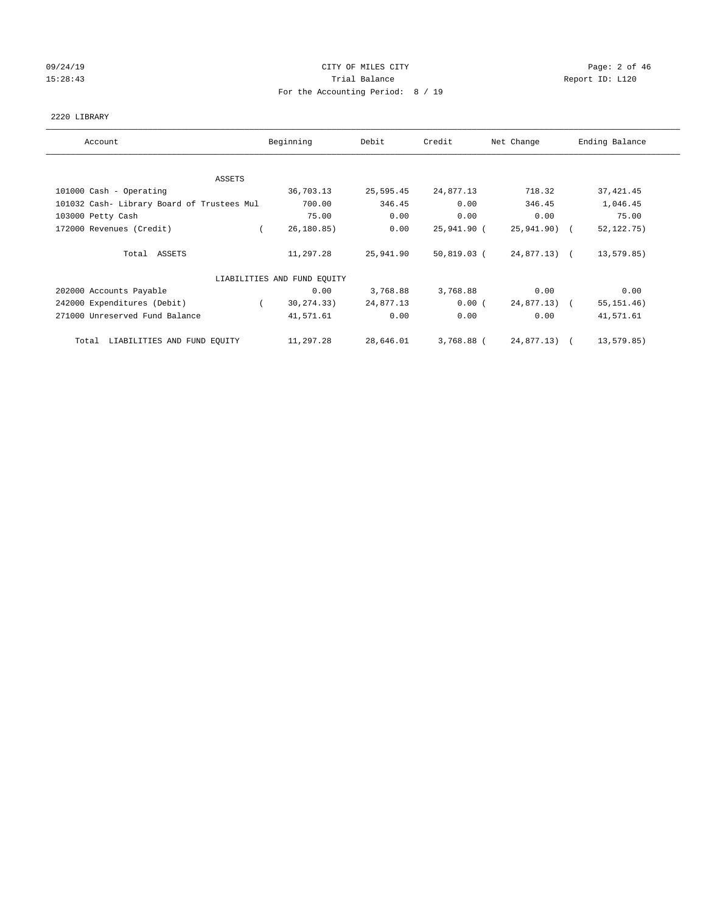# 09/24/19 Page: 2 of 46 15:28:43 Trial Balance Trial Balance Report ID: L120 For the Accounting Period: 8 / 19

### 2220 LIBRARY

| Account                                    | Beginning                   | Debit     | Credit      | Net Change   | Ending Balance |
|--------------------------------------------|-----------------------------|-----------|-------------|--------------|----------------|
| ASSETS                                     |                             |           |             |              |                |
| 101000 Cash - Operating                    | 36,703.13                   | 25,595.45 | 24,877.13   | 718.32       | 37, 421.45     |
| 101032 Cash- Library Board of Trustees Mul | 700.00                      | 346.45    | 0.00        | 346.45       | 1,046.45       |
| 103000 Petty Cash                          | 75.00                       | 0.00      | 0.00        | 0.00         | 75.00          |
| 172000 Revenues (Credit)                   | 26, 180.85)                 | 0.00      | 25,941.90 ( | 25,941.90) ( | 52, 122. 75)   |
| Total ASSETS                               | 11,297.28                   | 25,941.90 | 50,819.03 ( | 24,877.13) ( | 13,579.85)     |
|                                            | LIABILITIES AND FUND EQUITY |           |             |              |                |
| 202000 Accounts Payable                    | 0.00                        | 3,768.88  | 3,768.88    | 0.00         | 0.00           |
| 242000 Expenditures (Debit)                | 30,274.33)<br>$\sqrt{2}$    | 24,877.13 | 0.00(       | 24,877.13) ( | 55, 151.46)    |
| 271000 Unreserved Fund Balance             | 41,571.61                   | 0.00      | 0.00        | 0.00         | 41,571.61      |
| Total LIABILITIES AND FUND EQUITY          | 11,297.28                   | 28,646.01 | 3,768.88 (  | 24,877.13) ( | 13,579.85)     |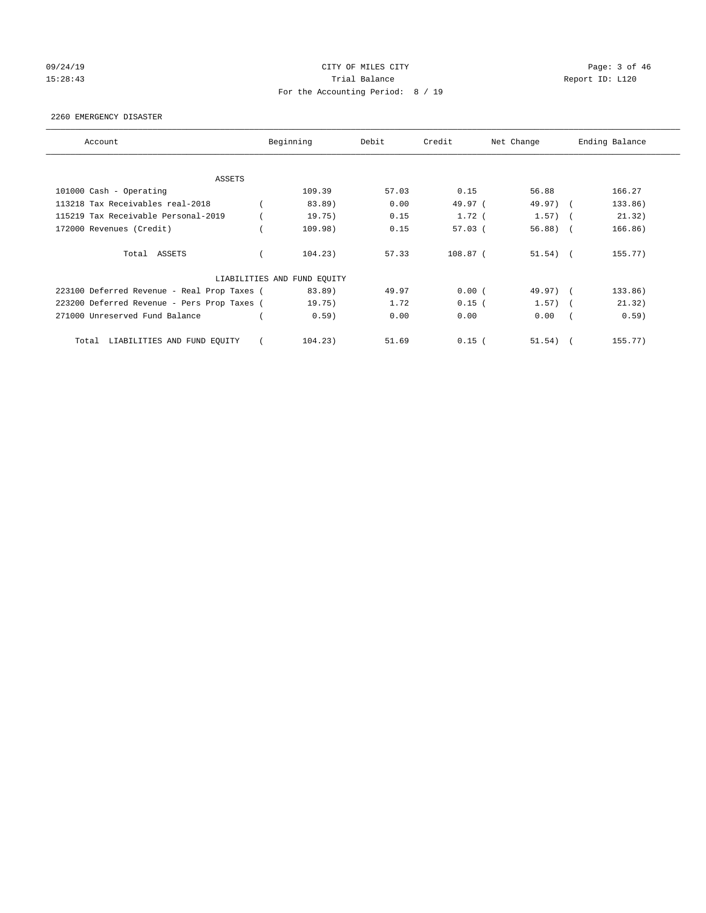# 09/24/19 Page: 3 of 46 15:28:43 Trial Balance Trial Balance Report ID: L120 For the Accounting Period: 8 / 19

#### 2260 EMERGENCY DISASTER

| Account                                     | Beginning                   | Debit | Credit    | Net Change |            | Ending Balance |
|---------------------------------------------|-----------------------------|-------|-----------|------------|------------|----------------|
| <b>ASSETS</b>                               |                             |       |           |            |            |                |
| 101000 Cash - Operating                     | 109.39                      | 57.03 | 0.15      | 56.88      |            | 166.27         |
| 113218 Tax Receivables real-2018            | 83.89)                      | 0.00  | 49.97 (   | 49.97) (   |            | 133.86)        |
| 115219 Tax Receivable Personal-2019         | 19.75)                      | 0.15  | $1.72$ (  | $1.57)$ (  |            | 21.32)         |
| 172000 Revenues (Credit)                    | 109.98)                     | 0.15  | $57.03$ ( | 56.88)     | $\sqrt{2}$ | 166.86)        |
| Total ASSETS                                | 104.23)                     | 57.33 | 108.87 (  | $51.54)$ ( |            | 155.77)        |
|                                             | LIABILITIES AND FUND EQUITY |       |           |            |            |                |
| 223100 Deferred Revenue - Real Prop Taxes ( | 83.89)                      | 49.97 | 0.00(     | 49.97) (   |            | 133.86)        |
| 223200 Deferred Revenue - Pers Prop Taxes ( | 19.75)                      | 1.72  | $0.15$ (  | $1.57)$ (  |            | 21.32)         |
| 271000 Unreserved Fund Balance              | 0.59)                       | 0.00  | 0.00      | 0.00       |            | 0.59)          |
| LIABILITIES AND FUND EQUITY<br>Total        | 104.23)                     | 51.69 | $0.15$ (  | 51.54)     |            | 155.77         |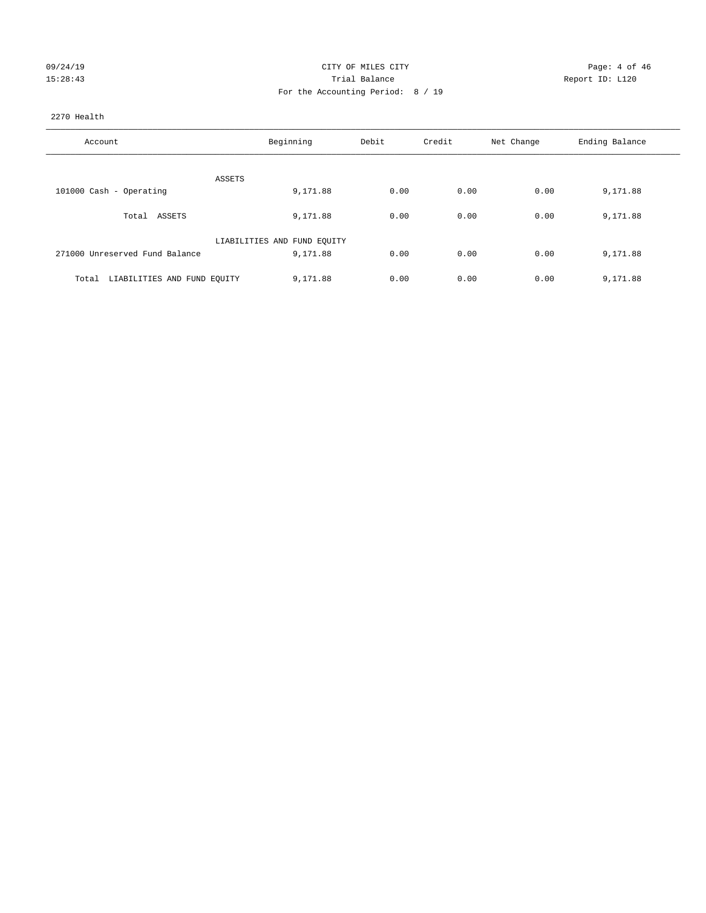| 09/24/19 |  |
|----------|--|
| 15:28:43 |  |

# CITY OF MILES CITY CONTROL CONTROL CONTROL CITY 15:28:43 Trial Balance Report ID: L120 For the Accounting Period: 8 / 19

### 2270 Health

| Account                              | Beginning                   | Debit | Credit | Net Change | Ending Balance |
|--------------------------------------|-----------------------------|-------|--------|------------|----------------|
|                                      |                             |       |        |            |                |
|                                      | ASSETS                      |       |        |            |                |
| 101000 Cash - Operating              | 9,171.88                    | 0.00  | 0.00   | 0.00       | 9,171.88       |
| Total ASSETS                         | 9,171.88                    | 0.00  | 0.00   | 0.00       | 9,171.88       |
|                                      | LIABILITIES AND FUND EQUITY |       |        |            |                |
| 271000 Unreserved Fund Balance       | 9,171.88                    | 0.00  | 0.00   | 0.00       | 9,171.88       |
|                                      |                             |       |        |            |                |
| LIABILITIES AND FUND EQUITY<br>Total | 9,171.88                    | 0.00  | 0.00   | 0.00       | 9,171.88       |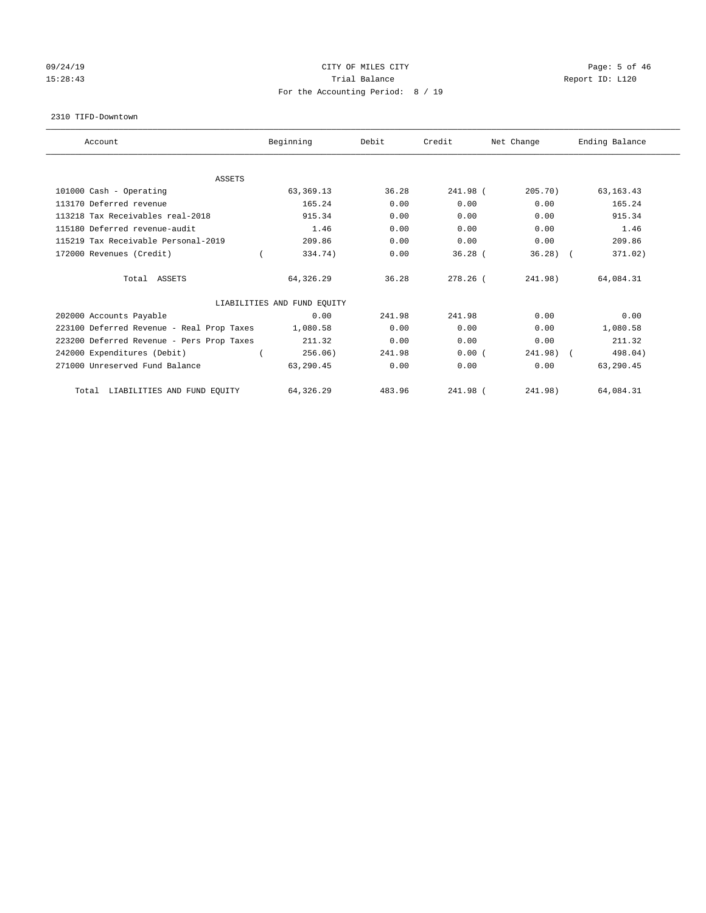# 09/24/19 Page: 5 of 46 15:28:43 Trial Balance Trial Balance Report ID: L120 For the Accounting Period: 8 / 19

#### 2310 TIFD-Downtown

| Account                                   | Beginning                   | Debit  | Credit     | Net Change | Ending Balance |
|-------------------------------------------|-----------------------------|--------|------------|------------|----------------|
|                                           |                             |        |            |            |                |
| <b>ASSETS</b>                             |                             |        |            |            |                |
| 101000 Cash - Operating                   | 63, 369. 13                 | 36.28  | 241.98 (   | 205.70     | 63, 163. 43    |
| 113170 Deferred revenue                   | 165.24                      | 0.00   | 0.00       | 0.00       | 165.24         |
| 113218 Tax Receivables real-2018          | 915.34                      | 0.00   | 0.00       | 0.00       | 915.34         |
| 115180 Deferred revenue-audit             | 1.46                        | 0.00   | 0.00       | 0.00       | 1.46           |
| 115219 Tax Receivable Personal-2019       | 209.86                      | 0.00   | 0.00       | 0.00       | 209.86         |
| 172000 Revenues (Credit)                  | 334.74)                     | 0.00   | $36.28$ (  | $36.28$ (  | 371.02)        |
| Total ASSETS                              | 64,326.29                   | 36.28  | $278.26$ ( | 241.98)    | 64,084.31      |
|                                           | LIABILITIES AND FUND EQUITY |        |            |            |                |
| 202000 Accounts Payable                   | 0.00                        | 241.98 | 241.98     | 0.00       | 0.00           |
| 223100 Deferred Revenue - Real Prop Taxes | 1,080.58                    | 0.00   | 0.00       | 0.00       | 1,080.58       |
| 223200 Deferred Revenue - Pers Prop Taxes | 211.32                      | 0.00   | 0.00       | 0.00       | 211.32         |
| 242000 Expenditures (Debit)               | 256.06)                     | 241.98 | 0.00(      | 241.98) (  | 498.04)        |
| 271000 Unreserved Fund Balance            | 63,290.45                   | 0.00   | 0.00       | 0.00       | 63,290.45      |
| LIABILITIES AND FUND EQUITY<br>Total      | 64,326.29                   | 483.96 | 241.98 (   | 241.98)    | 64,084.31      |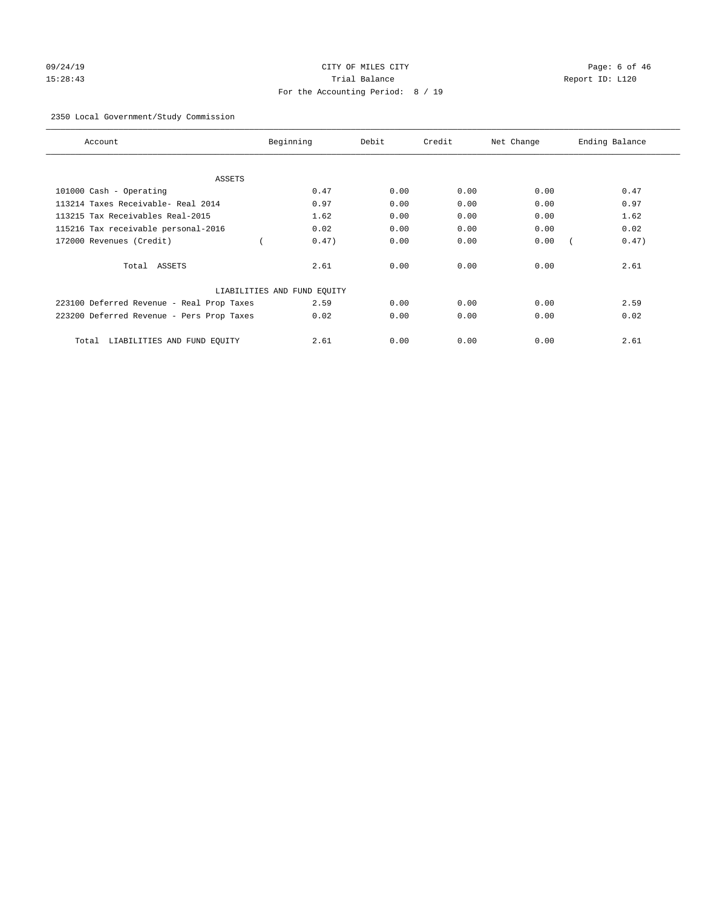# 09/24/19 CITY OF MILES CITY CHANNEL CITY CONTROL Page: 6 of 46 15:28:43 Trial Balance Report ID: L120 For the Accounting Period: 8 / 19

# 2350 Local Government/Study Commission

| Account                                   | Beginning                   | Debit | Credit | Net Change | Ending Balance |
|-------------------------------------------|-----------------------------|-------|--------|------------|----------------|
| ASSETS                                    |                             |       |        |            |                |
| 101000 Cash - Operating                   | 0.47                        | 0.00  | 0.00   | 0.00       | 0.47           |
| 113214 Taxes Receivable- Real 2014        | 0.97                        | 0.00  | 0.00   | 0.00       | 0.97           |
| 113215 Tax Receivables Real-2015          | 1.62                        | 0.00  | 0.00   | 0.00       | 1.62           |
| 115216 Tax receivable personal-2016       | 0.02                        | 0.00  | 0.00   | 0.00       | 0.02           |
| 172000 Revenues (Credit)                  | 0.47)                       | 0.00  | 0.00   | 0.00       | 0.47)          |
| Total ASSETS                              | 2.61                        | 0.00  | 0.00   | 0.00       | 2.61           |
|                                           | LIABILITIES AND FUND EQUITY |       |        |            |                |
| 223100 Deferred Revenue - Real Prop Taxes | 2.59                        | 0.00  | 0.00   | 0.00       | 2.59           |
| 223200 Deferred Revenue - Pers Prop Taxes | 0.02                        | 0.00  | 0.00   | 0.00       | 0.02           |
| LIABILITIES AND FUND EQUITY<br>Total      | 2.61                        | 0.00  | 0.00   | 0.00       | 2.61           |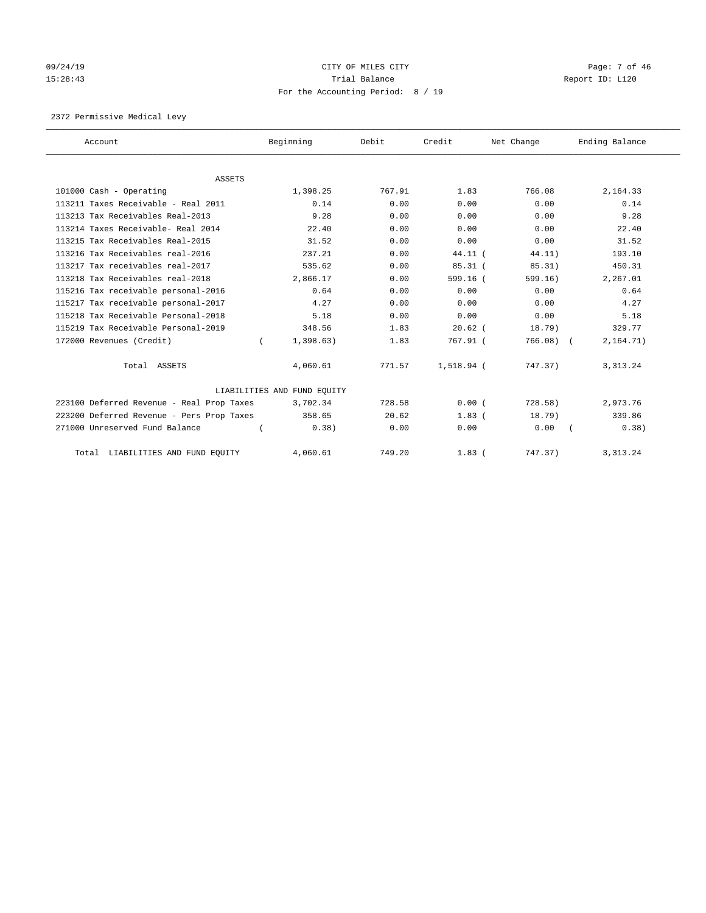# $O(9/24/19$  Page: 7 of 46 15:28:43 Trial Balance Trial Balance Report ID: L120 For the Accounting Period: 8 / 19

2372 Permissive Medical Levy

| Account                                   | Beginning                   | Debit  | Credit     | Net Change | Ending Balance |
|-------------------------------------------|-----------------------------|--------|------------|------------|----------------|
|                                           |                             |        |            |            |                |
| <b>ASSETS</b>                             |                             |        |            |            |                |
| 101000 Cash - Operating                   | 1,398.25                    | 767.91 | 1.83       | 766.08     | 2,164.33       |
| 113211 Taxes Receivable - Real 2011       | 0.14                        | 0.00   | 0.00       | 0.00       | 0.14           |
| 113213 Tax Receivables Real-2013          | 9.28                        | 0.00   | 0.00       | 0.00       | 9.28           |
| 113214 Taxes Receivable- Real 2014        | 22.40                       | 0.00   | 0.00       | 0.00       | 22.40          |
| 113215 Tax Receivables Real-2015          | 31.52                       | 0.00   | 0.00       | 0.00       | 31.52          |
| 113216 Tax Receivables real-2016          | 237.21                      | 0.00   | 44.11 (    | 44.11)     | 193.10         |
| 113217 Tax receivables real-2017          | 535.62                      | 0.00   | $85.31$ (  | 85.31)     | 450.31         |
| 113218 Tax Receivables real-2018          | 2,866.17                    | 0.00   | 599.16(    | 599.16)    | 2,267.01       |
| 115216 Tax receivable personal-2016       | 0.64                        | 0.00   | 0.00       | 0.00       | 0.64           |
| 115217 Tax receivable personal-2017       | 4.27                        | 0.00   | 0.00       | 0.00       | 4.27           |
| 115218 Tax Receivable Personal-2018       | 5.18                        | 0.00   | 0.00       | 0.00       | 5.18           |
| 115219 Tax Receivable Personal-2019       | 348.56                      | 1.83   | $20.62$ (  | 18.79)     | 329.77         |
| 172000 Revenues (Credit)                  | 1,398.63)                   | 1.83   | 767.91 (   | 766.08)    | 2, 164.71)     |
| Total ASSETS                              | 4,060.61                    | 771.57 | 1,518.94 ( | 747.37)    | 3, 313.24      |
|                                           | LIABILITIES AND FUND EQUITY |        |            |            |                |
| 223100 Deferred Revenue - Real Prop Taxes | 3,702.34                    | 728.58 | 0.00(      | $728.58$ ) | 2,973.76       |
| 223200 Deferred Revenue - Pers Prop Taxes | 358.65                      | 20.62  | 1.83(      | 18.79)     | 339.86         |
| 271000 Unreserved Fund Balance            | 0.38)                       | 0.00   | 0.00       | 0.00       | 0.38)          |
| LIABILITIES AND FUND EQUITY<br>Total      | 4,060.61                    | 749.20 | $1.83$ (   | 747.37)    | 3, 313. 24     |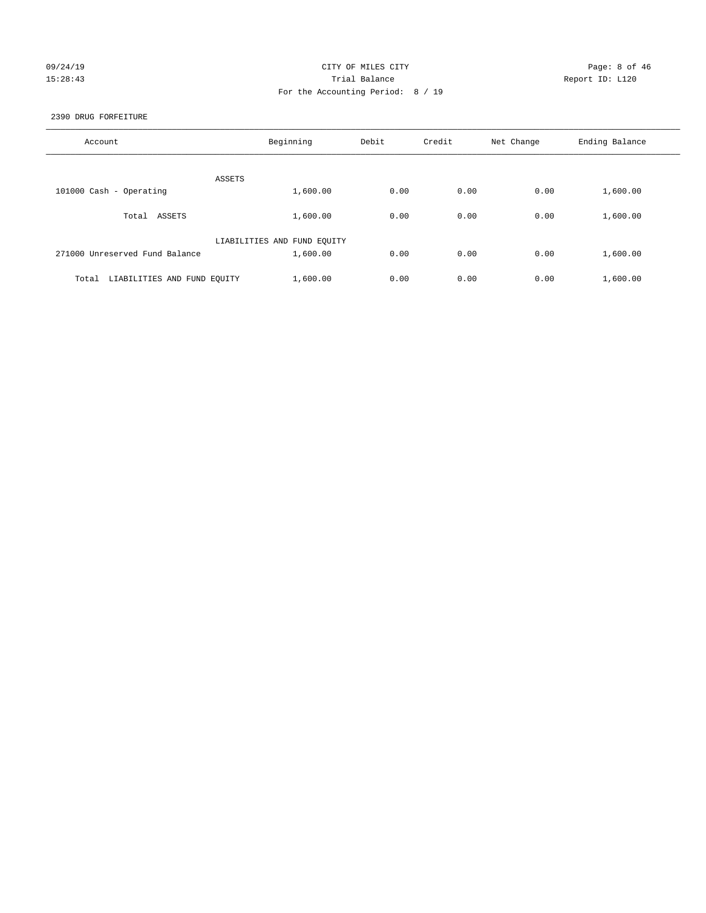# 09/24/19 Page: 8 of 46 15:28:43 Trial Balance Report ID: L120 For the Accounting Period: 8 / 19

2390 DRUG FORFEITURE

| Account                              | Beginning                   | Debit | Credit | Net Change | Ending Balance |
|--------------------------------------|-----------------------------|-------|--------|------------|----------------|
| ASSETS                               |                             |       |        |            |                |
| 101000 Cash - Operating              | 1,600.00                    | 0.00  | 0.00   | 0.00       | 1,600.00       |
| ASSETS<br>Total                      | 1,600.00                    | 0.00  | 0.00   | 0.00       | 1,600.00       |
|                                      | LIABILITIES AND FUND EQUITY |       |        |            |                |
| 271000 Unreserved Fund Balance       | 1,600.00                    | 0.00  | 0.00   | 0.00       | 1,600.00       |
| LIABILITIES AND FUND EQUITY<br>Total | 1,600.00                    | 0.00  | 0.00   | 0.00       | 1,600.00       |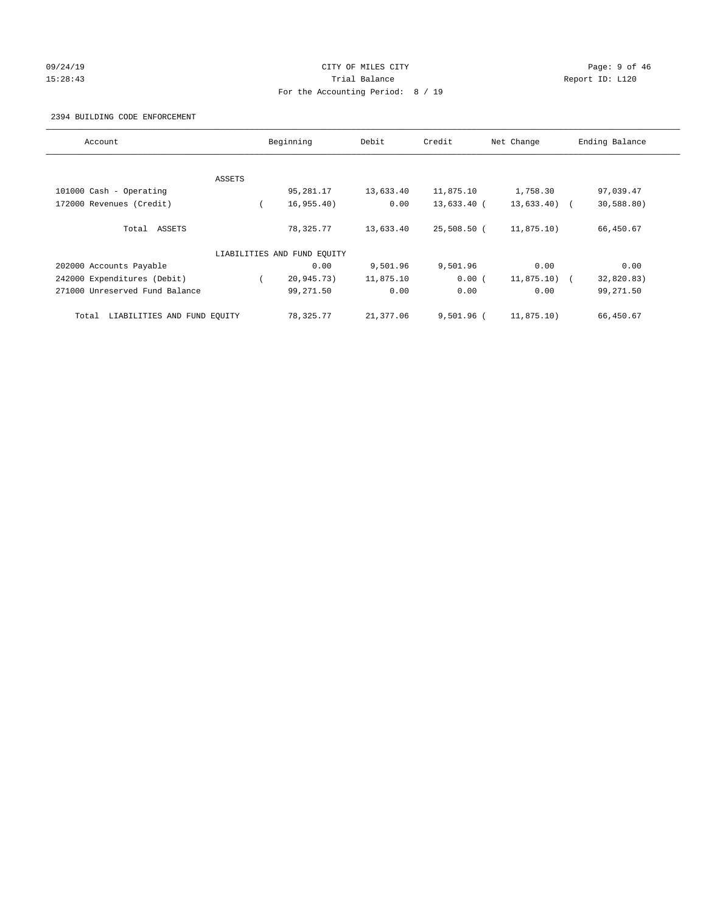# 09/24/19 Page: 9 of 46 15:28:43 Trial Balance Trial Balance Report ID: L120 For the Accounting Period: 8 / 19

#### 2394 BUILDING CODE ENFORCEMENT

| Account                              |        | Beginning                   | Debit     | Credit       | Net Change    | Ending Balance |
|--------------------------------------|--------|-----------------------------|-----------|--------------|---------------|----------------|
|                                      |        |                             |           |              |               |                |
|                                      | ASSETS |                             |           |              |               |                |
| 101000 Cash - Operating              |        | 95,281.17                   | 13,633.40 | 11,875.10    | 1,758.30      | 97,039.47      |
| 172000 Revenues (Credit)             |        | 16,955.40)                  | 0.00      | 13,633.40 (  | $13,633.40$ ( | 30,588.80)     |
| Total ASSETS                         |        | 78,325.77                   | 13,633.40 | 25,508.50 (  | 11,875.10)    | 66,450.67      |
|                                      |        | LIABILITIES AND FUND EQUITY |           |              |               |                |
| 202000 Accounts Payable              |        | 0.00                        | 9,501.96  | 9,501.96     | 0.00          | 0.00           |
| 242000 Expenditures (Debit)          |        | 20,945.73)                  | 11,875.10 | 0.00(        | $11,875.10$ ( | 32,820.83)     |
| 271000 Unreserved Fund Balance       |        | 99,271.50                   | 0.00      | 0.00         | 0.00          | 99,271.50      |
| LIABILITIES AND FUND EQUITY<br>Total |        | 78,325.77                   | 21,377.06 | $9,501.96$ ( | 11,875.10)    | 66,450.67      |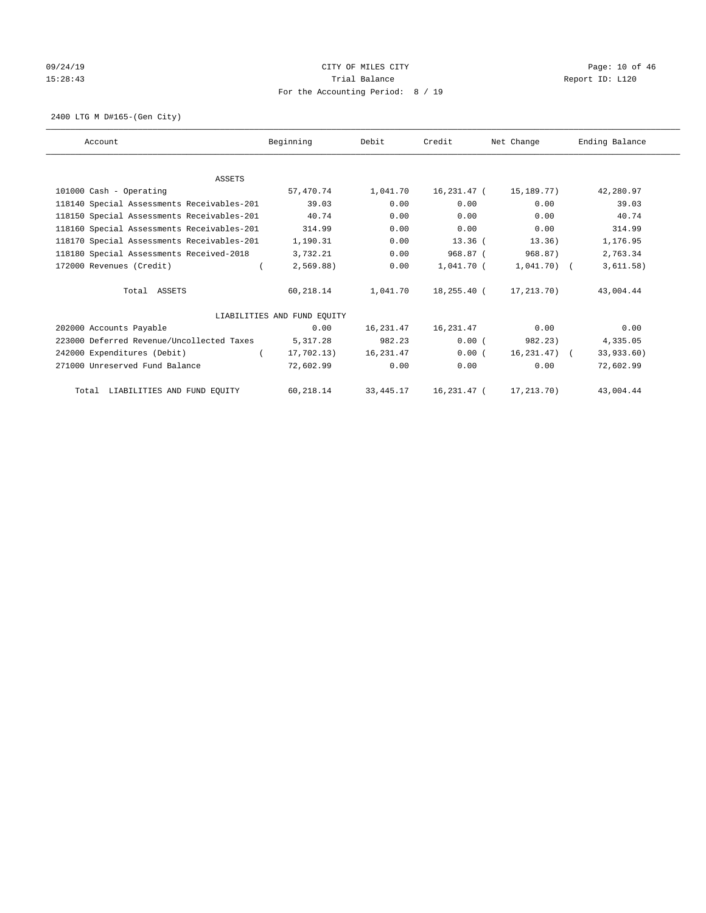# 09/24/19 **Page: 10 of 46** CITY OF MILES CITY 15:28:43 Trial Balance Trial Balance Report ID: L120 For the Accounting Period: 8 / 19

2400 LTG M D#165-(Gen City)

| Account                                    | Beginning                   | Debit       | Credit         | Net Change        | Ending Balance |
|--------------------------------------------|-----------------------------|-------------|----------------|-------------------|----------------|
|                                            |                             |             |                |                   |                |
| <b>ASSETS</b>                              |                             |             |                |                   |                |
| 101000 Cash - Operating                    | 57,470.74                   | 1,041.70    | 16,231.47 (    | 15,189.77)        | 42,280.97      |
| 118140 Special Assessments Receivables-201 | 39.03                       | 0.00        | 0.00           | 0.00              | 39.03          |
| 118150 Special Assessments Receivables-201 | 40.74                       | 0.00        | 0.00           | 0.00              | 40.74          |
| 118160 Special Assessments Receivables-201 | 314.99                      | 0.00        | 0.00           | 0.00              | 314.99         |
| 118170 Special Assessments Receivables-201 | 1,190.31                    | 0.00        | $13.36$ (      | 13.36)            | 1,176.95       |
| 118180 Special Assessments Received-2018   | 3,732.21                    | 0.00        | 968.87 (       | 968.87)           | 2,763.34       |
| 172000 Revenues (Credit)                   | 2,569.88)                   | 0.00        | 1,041.70 (     | $1,041.70$ (      | 3,611.58)      |
| Total ASSETS                               | 60,218.14                   | 1,041.70    | 18,255.40 (    | 17, 213, 70)      | 43,004.44      |
|                                            | LIABILITIES AND FUND EQUITY |             |                |                   |                |
| 202000 Accounts Payable                    | 0.00                        | 16,231.47   | 16,231.47      | 0.00              | 0.00           |
| 223000 Deferred Revenue/Uncollected Taxes  | 5,317.28                    | 982.23      | 0.00(          | 982.23)           | 4,335.05       |
| 242000 Expenditures (Debit)                | 17,702.13)                  | 16,231.47   | 0.00(          | $16, 231, 47$ ) ( | 33,933.60)     |
| 271000 Unreserved Fund Balance             | 72,602.99                   | 0.00        | 0.00           | 0.00              | 72,602.99      |
| Total LIABILITIES AND FUND EQUITY          | 60,218.14                   | 33, 445. 17 | $16, 231.47$ ( | 17,213.70)        | 43,004.44      |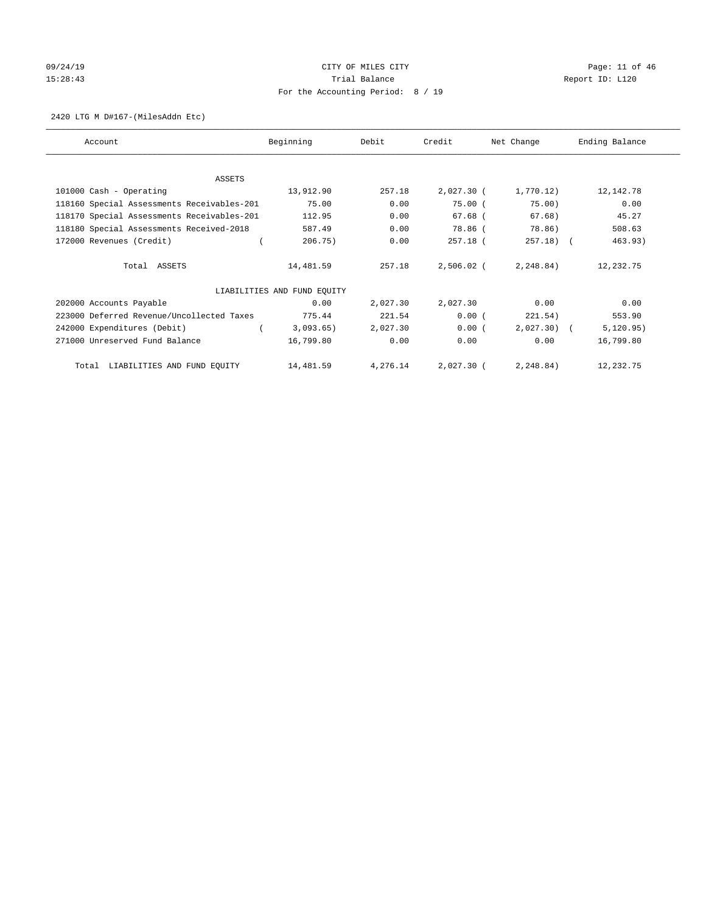# 09/24/19 CITY OF MILES CITY CHECK CONTROL Page: 11 of 46 15:28:43 Trial Balance Trial Balance Report ID: L120 For the Accounting Period: 8 / 19

#### 2420 LTG M D#167-(MilesAddn Etc)

| Account                                    | Beginning                   | Debit    | Credit       | Net Change   | Ending Balance |
|--------------------------------------------|-----------------------------|----------|--------------|--------------|----------------|
|                                            |                             |          |              |              |                |
| ASSETS                                     |                             |          |              |              |                |
| 101000 Cash - Operating                    | 13,912.90                   | 257.18   | 2,027.30 (   | 1,770.12)    | 12,142.78      |
| 118160 Special Assessments Receivables-201 | 75.00                       | 0.00     | 75.00(       | 75.00)       | 0.00           |
| 118170 Special Assessments Receivables-201 | 112.95                      | 0.00     | $67.68$ (    | 67.68)       | 45.27          |
| 118180 Special Assessments Received-2018   | 587.49                      | 0.00     | 78.86 (      | 78.86)       | 508.63         |
| 172000 Revenues (Credit)                   | 206.75)                     | 0.00     | 257.18 (     | $257.18$ ) ( | 463.93)        |
| Total ASSETS                               | 14,481.59                   | 257.18   | $2,506.02$ ( | 2,248.84)    | 12,232.75      |
|                                            | LIABILITIES AND FUND EQUITY |          |              |              |                |
| 202000 Accounts Payable                    | 0.00                        | 2,027.30 | 2,027.30     | 0.00         | 0.00           |
| 223000 Deferred Revenue/Uncollected Taxes  | 775.44                      | 221.54   | 0.00(        | 221.54)      | 553.90         |
| 242000 Expenditures (Debit)                | 3,093.65)                   | 2,027.30 | 0.00(        | $2,027.30$ ( | 5, 120.95)     |
| 271000 Unreserved Fund Balance             | 16,799.80                   | 0.00     | 0.00         | 0.00         | 16,799.80      |
| Total LIABILITIES AND FUND EQUITY          | 14,481.59                   | 4,276.14 | 2,027.30 (   | 2, 248.84)   | 12,232.75      |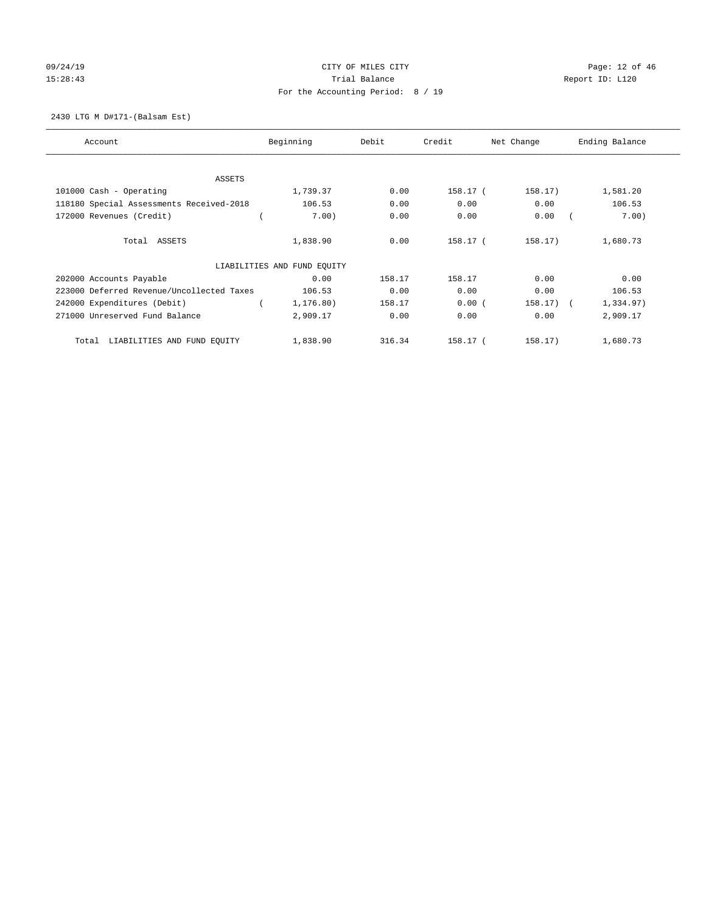# 09/24/19 CITY OF MILES CITY CHECK CONTROL Page: 12 of 46 15:28:43 Trial Balance Trial Balance Report ID: L120 For the Accounting Period: 8 / 19

2430 LTG M D#171-(Balsam Est)

| Account                                   | Beginning                   | Debit  | Credit   | Net Change  | Ending Balance |
|-------------------------------------------|-----------------------------|--------|----------|-------------|----------------|
| ASSETS                                    |                             |        |          |             |                |
| 101000 Cash - Operating                   | 1,739.37                    | 0.00   | 158.17 ( | 158.17)     | 1,581.20       |
| 118180 Special Assessments Received-2018  | 106.53                      | 0.00   | 0.00     | 0.00        | 106.53         |
| 172000 Revenues (Credit)                  | 7.00)                       | 0.00   | 0.00     | 0.00        | 7.00)          |
| Total ASSETS                              | 1,838.90                    | 0.00   | 158.17 ( | 158.17)     | 1,680.73       |
|                                           | LIABILITIES AND FUND EQUITY |        |          |             |                |
| 202000 Accounts Payable                   | 0.00                        | 158.17 | 158.17   | 0.00        | 0.00           |
| 223000 Deferred Revenue/Uncollected Taxes | 106.53                      | 0.00   | 0.00     | 0.00        | 106.53         |
| 242000 Expenditures (Debit)               | 1,176.80)                   | 158.17 | 0.00(    | $158.17)$ ( | 1,334.97)      |
| 271000 Unreserved Fund Balance            | 2,909.17                    | 0.00   | 0.00     | 0.00        | 2,909.17       |
| LIABILITIES AND FUND EQUITY<br>Total      | 1,838.90                    | 316.34 | 158.17 ( | 158.17)     | 1,680.73       |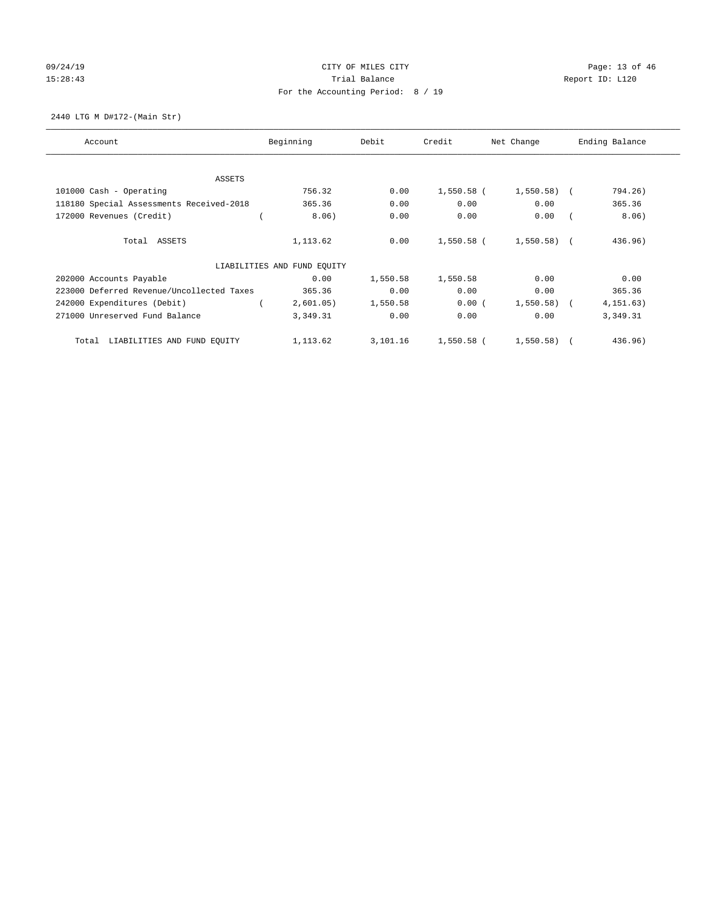# 09/24/19 CITY OF MILES CITY CHECK CONTROL Page: 13 of 46 15:28:43 Trial Balance Trial Balance Report ID: L120 For the Accounting Period: 8 / 19

2440 LTG M D#172-(Main Str)

| Account                                   | Beginning                   | Debit    | Credit       | Net Change   | Ending Balance |
|-------------------------------------------|-----------------------------|----------|--------------|--------------|----------------|
| ASSETS                                    |                             |          |              |              |                |
| 101000 Cash - Operating                   | 756.32                      | 0.00     | $1,550.58$ ( | $1,550.58$ ( | 794.26)        |
| 118180 Special Assessments Received-2018  | 365.36                      | 0.00     | 0.00         | 0.00         | 365.36         |
| 172000 Revenues (Credit)                  | 8.06)                       | 0.00     | 0.00         | 0.00         | 8.06)          |
| Total ASSETS                              | 1,113.62                    | 0.00     | 1,550.58 (   | $1,550.58$ ( | 436.96)        |
|                                           | LIABILITIES AND FUND EQUITY |          |              |              |                |
| 202000 Accounts Payable                   | 0.00                        | 1,550.58 | 1,550.58     | 0.00         | 0.00           |
| 223000 Deferred Revenue/Uncollected Taxes | 365.36                      | 0.00     | 0.00         | 0.00         | 365.36         |
| 242000 Expenditures (Debit)               | 2,601.05)                   | 1,550.58 | 0.00(        | $1,550.58$ ( | 4, 151.63)     |
| 271000 Unreserved Fund Balance            | 3,349.31                    | 0.00     | 0.00         | 0.00         | 3,349.31       |
| LIABILITIES AND FUND EQUITY<br>Total      | 1,113.62                    | 3,101.16 | $1,550.58$ ( | 1,550.58     | 436.96)        |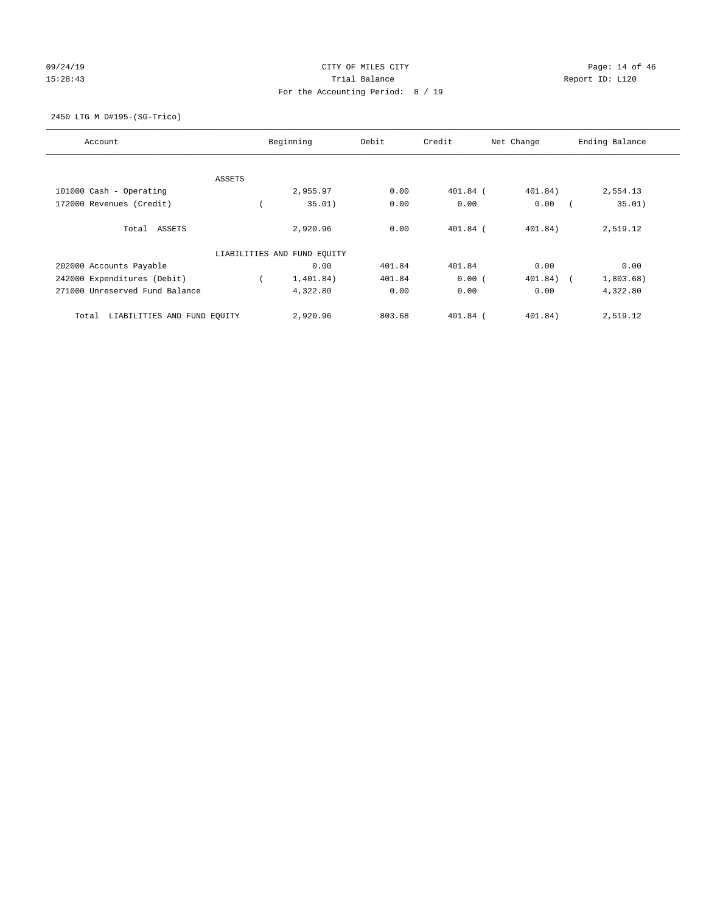# 09/24/19 CITY OF MILES CITY CHECK CONTROL Page: 14 of 46 15:28:43 Trial Balance Trial Balance Report ID: L120 For the Accounting Period: 8 / 19

2450 LTG M D#195-(SG-Trico)

| Account                              |        | Beginning                   | Debit  | Credit     | Net Change | Ending Balance      |
|--------------------------------------|--------|-----------------------------|--------|------------|------------|---------------------|
|                                      |        |                             |        |            |            |                     |
|                                      | ASSETS |                             |        |            |            |                     |
| 101000 Cash - Operating              |        | 2,955.97                    | 0.00   | 401.84 (   | 401.84)    | 2,554.13            |
| 172000 Revenues (Credit)             |        | 35.01)                      | 0.00   | 0.00       | 0.00       | 35.01)              |
| Total ASSETS                         |        | 2,920.96                    | 0.00   | $401.84$ ( | 401.84)    | 2,519.12            |
|                                      |        | LIABILITIES AND FUND EQUITY |        |            |            |                     |
| 202000 Accounts Payable              |        | 0.00                        | 401.84 | 401.84     | 0.00       | 0.00                |
| 242000 Expenditures (Debit)          |        | 1,401.84)                   | 401.84 | 0.00(      | 401.84)    | 1,803.68)<br>$\sim$ |
| 271000 Unreserved Fund Balance       |        | 4,322.80                    | 0.00   | 0.00       | 0.00       | 4,322.80            |
| LIABILITIES AND FUND EQUITY<br>Total |        | 2,920.96                    | 803.68 | $401.84$ ( | 401.84)    | 2,519.12            |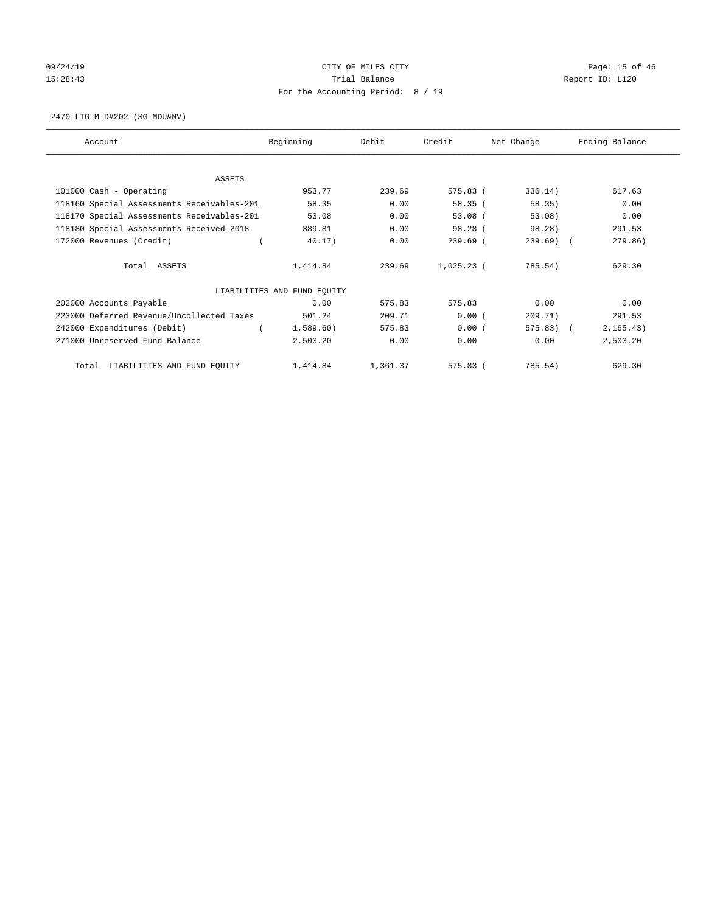# 09/24/19 CITY OF MILES CITY CHECK CONTROL CONTROL Page: 15 of 46 15:28:43 Trial Balance Trial Balance Report ID: L120 For the Accounting Period: 8 / 19

2470 LTG M D#202-(SG-MDU&NV)

| Account                                    | Beginning                   | Debit    | Credit       | Net Change   | Ending Balance |
|--------------------------------------------|-----------------------------|----------|--------------|--------------|----------------|
|                                            |                             |          |              |              |                |
| <b>ASSETS</b><br>101000 Cash - Operating   | 953.77                      | 239.69   | 575.83 (     | 336.14)      | 617.63         |
| 118160 Special Assessments Receivables-201 | 58.35                       | 0.00     | 58.35(       | 58.35)       | 0.00           |
| 118170 Special Assessments Receivables-201 | 53.08                       | 0.00     | $53.08$ (    | 53.08)       | 0.00           |
| 118180 Special Assessments Received-2018   | 389.81                      | 0.00     | 98.28 (      | 98.28)       | 291.53         |
| 172000 Revenues (Credit)                   | 40.17)                      | 0.00     | $239.69$ (   | $239.69$ (   | 279.86)        |
| Total ASSETS                               | 1,414.84                    | 239.69   | $1,025.23$ ( | 785.54)      | 629.30         |
|                                            | LIABILITIES AND FUND EQUITY |          |              |              |                |
| 202000 Accounts Payable                    | 0.00                        | 575.83   | 575.83       | 0.00         | 0.00           |
| 223000 Deferred Revenue/Uncollected Taxes  | 501.24                      | 209.71   | 0.00(        | 209.71)      | 291.53         |
| 242000 Expenditures (Debit)                | 1,589.60                    | 575.83   | 0.00(        | $575.83$ ) ( | 2, 165.43)     |
| 271000 Unreserved Fund Balance             | 2,503.20                    | 0.00     | 0.00         | 0.00         | 2,503.20       |
| LIABILITIES AND FUND EQUITY<br>Total       | 1,414.84                    | 1,361.37 | $575.83$ (   | 785.54)      | 629.30         |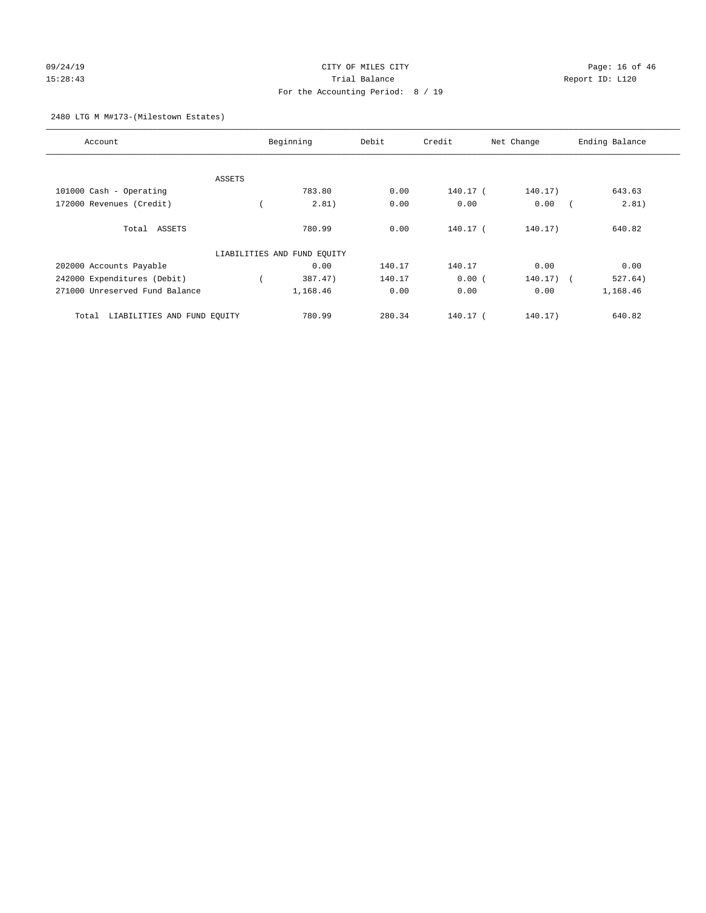# 09/24/19 CITY OF MILES CITY CHECK CONTROL Page: 16 of 46 15:28:43 Trial Balance Report ID: L120 For the Accounting Period: 8 / 19

### 2480 LTG M M#173-(Milestown Estates)

| Account                              |        | Beginning                   | Debit  | Credit     | Net Change  | Ending Balance |
|--------------------------------------|--------|-----------------------------|--------|------------|-------------|----------------|
|                                      |        |                             |        |            |             |                |
|                                      | ASSETS |                             |        |            |             |                |
| 101000 Cash - Operating              |        | 783.80                      | 0.00   | 140.17 (   | 140.17)     | 643.63         |
| 172000 Revenues (Credit)             |        | 2.81)                       | 0.00   | 0.00       | 0.00        | 2.81)          |
| Total ASSETS                         |        | 780.99                      | 0.00   | $140.17-1$ | 140.17)     | 640.82         |
|                                      |        | LIABILITIES AND FUND EQUITY |        |            |             |                |
| 202000 Accounts Payable              |        | 0.00                        | 140.17 | 140.17     | 0.00        | 0.00           |
| 242000 Expenditures (Debit)          |        | 387.47)                     | 140.17 | 0.00(      | $140.17)$ ( | 527.64)        |
| 271000 Unreserved Fund Balance       |        | 1,168.46                    | 0.00   | 0.00       | 0.00        | 1,168.46       |
| LIABILITIES AND FUND EQUITY<br>Total |        | 780.99                      | 280.34 | 140.17 (   | 140.17)     | 640.82         |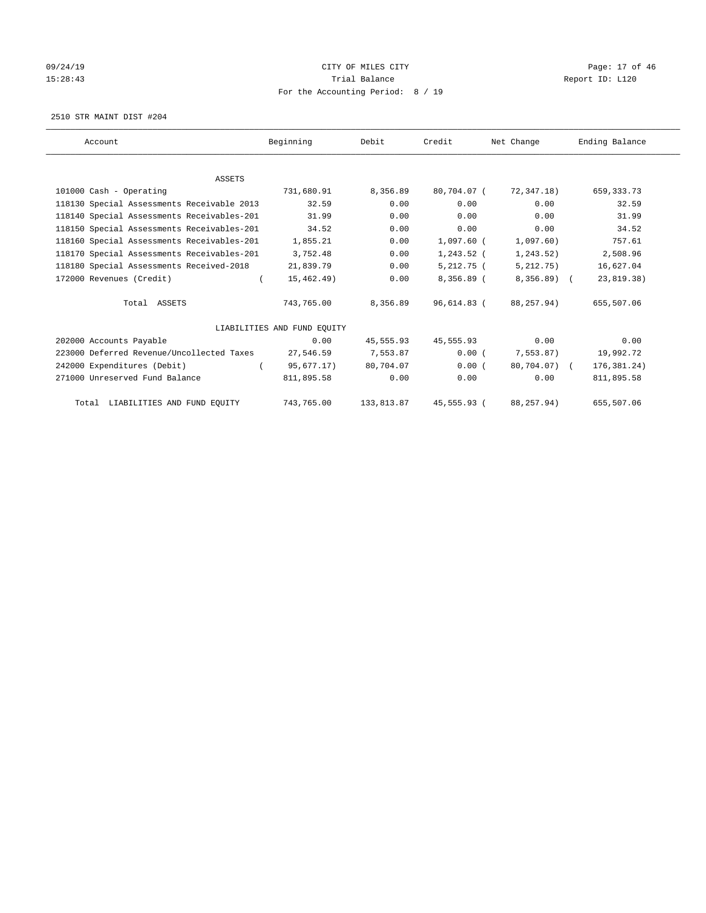# 09/24/19 CITY OF MILES CITY CHECK CONTROL Page: 17 of 46 15:28:43 Trial Balance Trial Balance Report ID: L120 For the Accounting Period: 8 / 19

2510 STR MAINT DIST #204

| Account                                    | Beginning                   | Debit      | Credit       | Net Change   | Ending Balance |
|--------------------------------------------|-----------------------------|------------|--------------|--------------|----------------|
|                                            |                             |            |              |              |                |
| <b>ASSETS</b>                              |                             |            |              |              |                |
| 101000 Cash - Operating                    | 731,680.91                  | 8,356.89   | 80,704.07 (  | 72,347.18)   | 659, 333. 73   |
| 118130 Special Assessments Receivable 2013 | 32.59                       | 0.00       | 0.00         | 0.00         | 32.59          |
| 118140 Special Assessments Receivables-201 | 31.99                       | 0.00       | 0.00         | 0.00         | 31.99          |
| 118150 Special Assessments Receivables-201 | 34.52                       | 0.00       | 0.00         | 0.00         | 34.52          |
| 118160 Special Assessments Receivables-201 | 1,855.21                    | 0.00       | 1,097.60 (   | 1,097.60)    | 757.61         |
| 118170 Special Assessments Receivables-201 | 3,752.48                    | 0.00       | $1,243.52$ ( | 1,243.52)    | 2,508.96       |
| 118180 Special Assessments Received-2018   | 21,839.79                   | 0.00       | $5,212.75$ ( | 5,212.75)    | 16,627.04      |
| 172000 Revenues (Credit)                   | 15,462.49)                  | 0.00       | 8,356.89 (   | $8,356.89$ ( | 23,819.38)     |
| Total ASSETS                               | 743,765.00                  | 8,356.89   | 96,614.83 (  | 88,257.94)   | 655,507.06     |
|                                            | LIABILITIES AND FUND EQUITY |            |              |              |                |
| 202000 Accounts Payable                    | 0.00                        | 45,555.93  | 45,555.93    | 0.00         | 0.00           |
| 223000 Deferred Revenue/Uncollected Taxes  | 27,546.59                   | 7,553.87   | 0.00(        | 7,553.87)    | 19,992.72      |
| 242000 Expenditures (Debit)                | 95,677.17)                  | 80,704.07  | 0.00(        | 80,704.07) ( | 176,381.24)    |
| 271000 Unreserved Fund Balance             | 811,895.58                  | 0.00       | 0.00         | 0.00         | 811,895.58     |
| Total LIABILITIES AND FUND EQUITY          | 743,765.00                  | 133,813.87 | 45,555.93 (  | 88,257.94)   | 655,507.06     |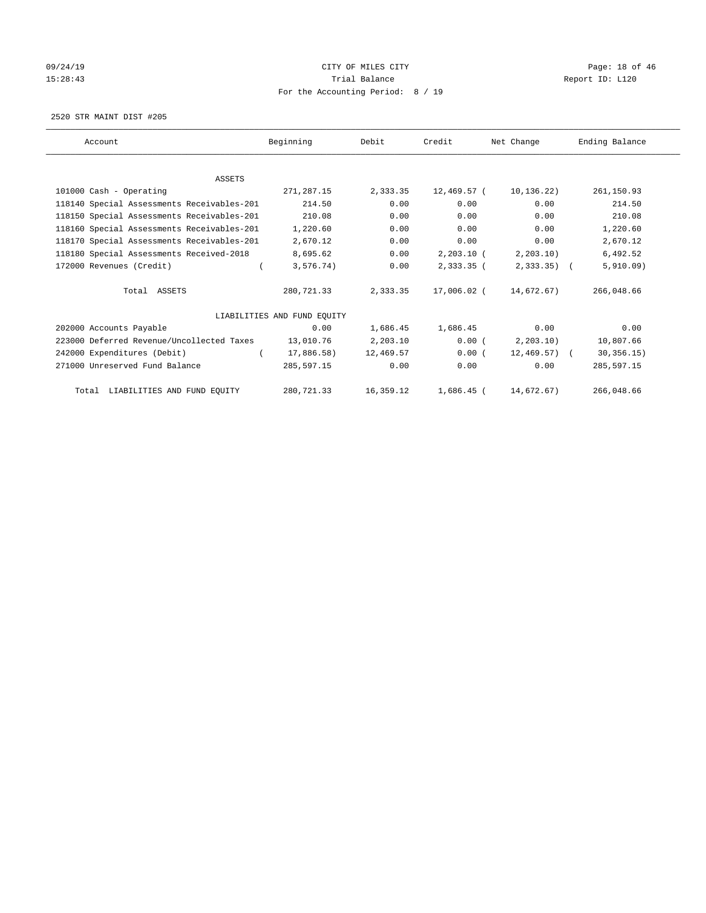# 09/24/19 CITY OF MILES CITY CHECK CONTROL Page: 18 of 46 15:28:43 Trial Balance Trial Balance Report ID: L120 For the Accounting Period: 8 / 19

2520 STR MAINT DIST #205

| Account                                    | Beginning                   | Debit     | Credit       | Net Change      | Ending Balance |
|--------------------------------------------|-----------------------------|-----------|--------------|-----------------|----------------|
|                                            |                             |           |              |                 |                |
| <b>ASSETS</b>                              |                             |           |              |                 |                |
| 101000 Cash - Operating                    | 271,287.15                  | 2,333.35  | 12,469.57 (  | 10,136.22)      | 261,150.93     |
| 118140 Special Assessments Receivables-201 | 214.50                      | 0.00      | 0.00         | 0.00            | 214.50         |
| 118150 Special Assessments Receivables-201 | 210.08                      | 0.00      | 0.00         | 0.00            | 210.08         |
| 118160 Special Assessments Receivables-201 | 1,220.60                    | 0.00      | 0.00         | 0.00            | 1,220.60       |
| 118170 Special Assessments Receivables-201 | 2,670.12                    | 0.00      | 0.00         | 0.00            | 2,670.12       |
| 118180 Special Assessments Received-2018   | 8,695.62                    | 0.00      | $2,203.10$ ( | 2, 203.10)      | 6,492.52       |
| 172000 Revenues (Credit)                   | 3,576.74)                   | 0.00      | 2,333.35 (   | $2,333.35$ (    | 5,910.09)      |
| Total ASSETS                               | 280,721.33                  | 2,333.35  | 17,006.02 (  | 14,672.67)      | 266,048.66     |
|                                            | LIABILITIES AND FUND EQUITY |           |              |                 |                |
| 202000 Accounts Payable                    | 0.00                        | 1,686.45  | 1,686.45     | 0.00            | 0.00           |
| 223000 Deferred Revenue/Uncollected Taxes  | 13,010.76                   | 2,203.10  | 0.00(        | 2, 203.10       | 10,807.66      |
| 242000 Expenditures (Debit)                | 17,886.58)                  | 12,469.57 | 0.00(        | $12,469.57$ ) ( | 30, 356.15)    |
| 271000 Unreserved Fund Balance             | 285,597.15                  | 0.00      | 0.00         | 0.00            | 285,597.15     |
| Total LIABILITIES AND FUND EQUITY          | 280,721.33                  | 16,359.12 | $1,686.45$ ( | 14,672.67)      | 266,048.66     |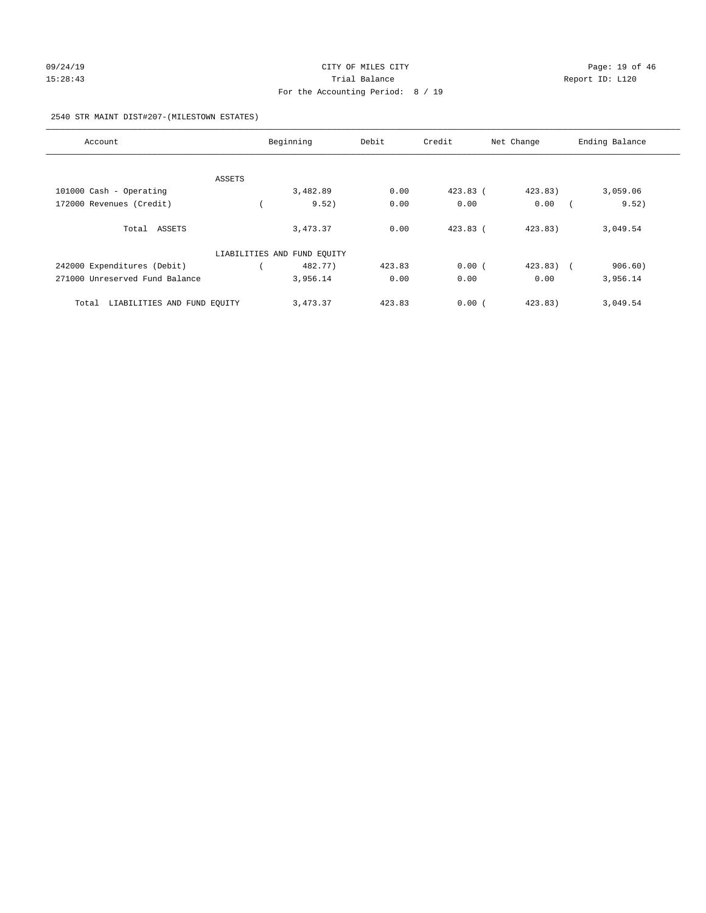# 09/24/19 **Page: 19 of 46** CITY OF MILES CITY 15:28:43 Trial Balance Trial Balance Report ID: L120 For the Accounting Period: 8 / 19

#### 2540 STR MAINT DIST#207-(MILESTOWN ESTATES)

| Account                              | Beginning                   | Debit  | Credit     | Net Change  | Ending Balance |
|--------------------------------------|-----------------------------|--------|------------|-------------|----------------|
|                                      |                             |        |            |             |                |
| ASSETS                               |                             |        |            |             |                |
| 101000 Cash - Operating              | 3,482.89                    | 0.00   | $423.83$ ( | 423.83)     | 3,059.06       |
| 172000 Revenues (Credit)             | 9.52)                       | 0.00   | 0.00       | 0.00        | 9.52)          |
| Total ASSETS                         | 3,473.37                    | 0.00   | $423.83$ ( | 423.83)     | 3,049.54       |
|                                      | LIABILITIES AND FUND EQUITY |        |            |             |                |
| 242000 Expenditures (Debit)          | 482.77)                     | 423.83 | 0.00(      | $423.83)$ ( | 906.60)        |
| 271000 Unreserved Fund Balance       | 3,956.14                    | 0.00   | 0.00       | 0.00        | 3,956.14       |
| LIABILITIES AND FUND EQUITY<br>Total | 3,473.37                    | 423.83 | 0.00(      | 423.83)     | 3,049.54       |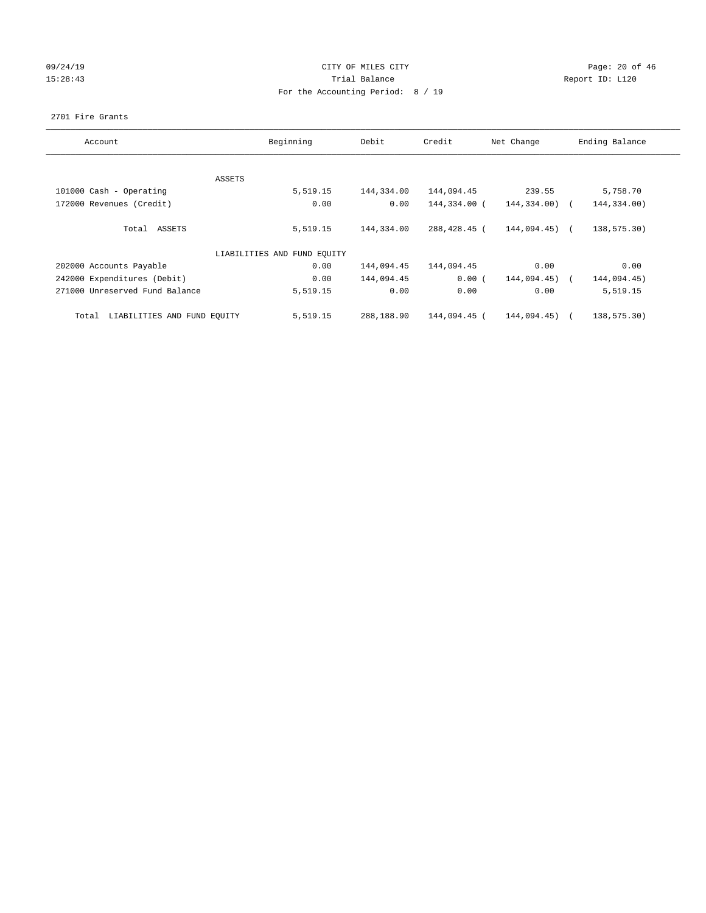# 09/24/19 **Page: 20 of 46** CITY OF MILES CITY 15:28:43 Trial Balance Trial Balance Report ID: L120 For the Accounting Period: 8 / 19

#### 2701 Fire Grants

| Account                              | Beginning                   | Debit      | Credit       | Net Change       | Ending Balance |
|--------------------------------------|-----------------------------|------------|--------------|------------------|----------------|
|                                      |                             |            |              |                  |                |
|                                      | ASSETS                      |            |              |                  |                |
| 101000 Cash - Operating              | 5,519.15                    | 144,334.00 | 144,094.45   | 239.55           | 5,758.70       |
| 172000 Revenues (Credit)             | 0.00                        | 0.00       | 144,334.00 ( | 144,334.00)      | 144,334.00)    |
| ASSETS<br>Total                      | 5,519.15                    | 144,334.00 | 288,428.45 ( | $144,094.45$ ) ( | 138,575.30)    |
|                                      | LIABILITIES AND FUND EQUITY |            |              |                  |                |
| 202000 Accounts Payable              | 0.00                        | 144,094.45 | 144,094.45   | 0.00             | 0.00           |
| 242000 Expenditures (Debit)          | 0.00                        | 144,094.45 | 0.00(        | 144,094.45)      | 144,094.45)    |
| 271000 Unreserved Fund Balance       | 5,519.15                    | 0.00       | 0.00         | 0.00             | 5,519.15       |
| LIABILITIES AND FUND EOUITY<br>Total | 5,519.15                    | 288,188.90 | 144,094.45 ( | 144,094.45)      | 138,575.30)    |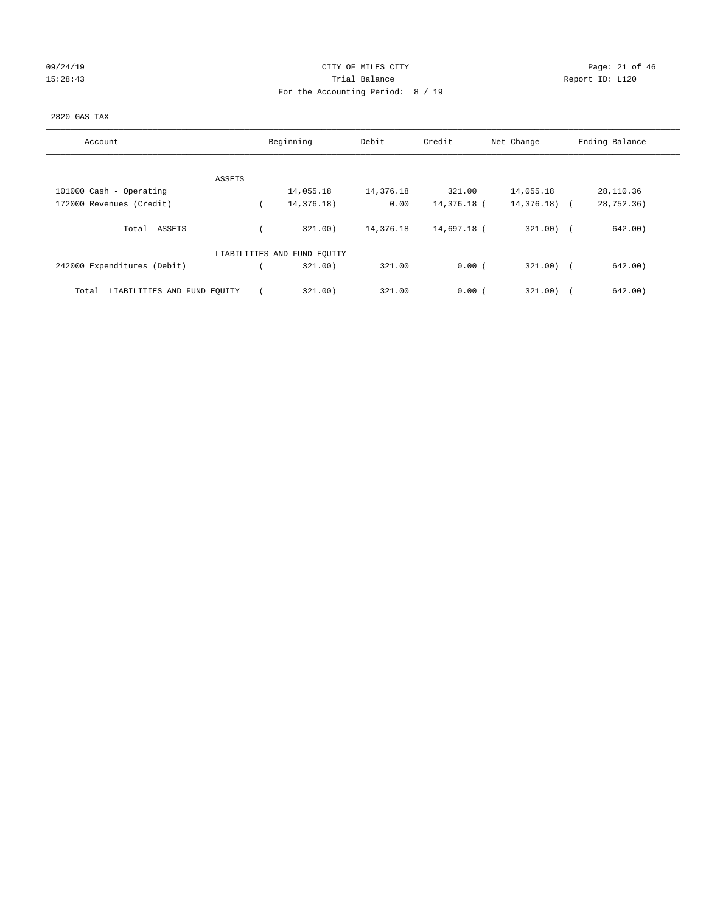| 09/24/19 |  |
|----------|--|
| 15:28:43 |  |

# CITY OF MILES CITY CONTROL CONTROL CONTROL CITY 15:28:43 Trial Balance Report ID: L120 For the Accounting Period: 8 / 19

## 2820 GAS TAX

| Account                              | Beginning                   | Debit     | Credit      | Net Change    | Ending Balance |
|--------------------------------------|-----------------------------|-----------|-------------|---------------|----------------|
|                                      |                             |           |             |               |                |
| ASSETS                               |                             |           |             |               |                |
| 101000 Cash - Operating              | 14,055.18                   | 14,376.18 | 321.00      | 14,055.18     | 28,110.36      |
| 172000 Revenues (Credit)             | 14,376.18)                  | 0.00      | 14,376.18 ( | $14,376.18$ ( | 28,752.36)     |
| Total ASSETS                         | 321.00                      | 14,376.18 | 14,697.18 ( | $321.00$ ) (  | 642.00)        |
|                                      | LIABILITIES AND FUND EQUITY |           |             |               |                |
| 242000 Expenditures (Debit)          | 321.00                      | 321.00    | 0.00(       | $321.00$ (    | 642.00)        |
| LIABILITIES AND FUND EQUITY<br>Total | 321.00                      | 321.00    | 0.00(       | 321.00)       | 642.00         |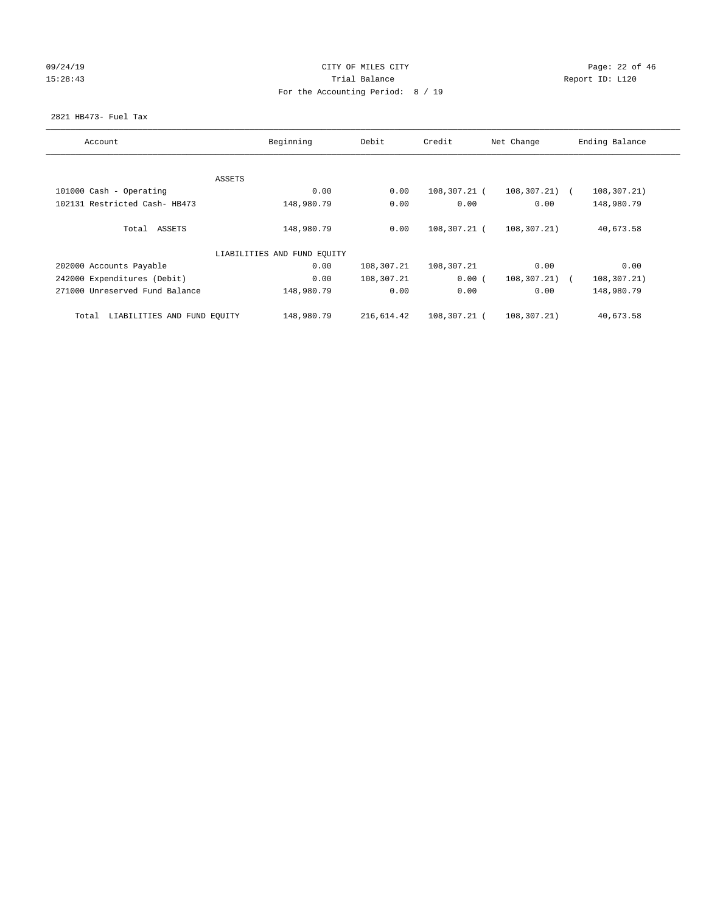# 09/24/19 **Page: 22 of 46** CITY OF MILES CITY 15:28:43 Trial Balance Trial Balance Report ID: L120 For the Accounting Period: 8 / 19

#### 2821 HB473- Fuel Tax

| Account                              | Beginning                   | Debit      | Credit       | Net Change        | Ending Balance               |
|--------------------------------------|-----------------------------|------------|--------------|-------------------|------------------------------|
|                                      |                             |            |              |                   |                              |
|                                      | ASSETS                      |            |              |                   |                              |
| 101000 Cash - Operating              | 0.00                        | 0.00       | 108,307.21 ( | $108, 307, 21)$ ( | 108,307.21)                  |
| 102131 Restricted Cash- HB473        | 148,980.79                  | 0.00       | 0.00         | 0.00              | 148,980.79                   |
| Total ASSETS                         | 148,980.79                  | 0.00       | 108,307.21 ( | 108,307.21)       | 40,673.58                    |
|                                      | LIABILITIES AND FUND EQUITY |            |              |                   |                              |
| 202000 Accounts Payable              | 0.00                        | 108,307.21 | 108,307.21   | 0.00              | 0.00                         |
| 242000 Expenditures (Debit)          | 0.00                        | 108,307.21 | 0.00(        | 108,307.21)       | 108,307.21)<br>$\sim$ $\sim$ |
| 271000 Unreserved Fund Balance       | 148,980.79                  | 0.00       | 0.00         | 0.00              | 148,980.79                   |
| LIABILITIES AND FUND EQUITY<br>Total | 148,980.79                  | 216,614.42 | 108,307.21 ( | 108,307.21)       | 40,673.58                    |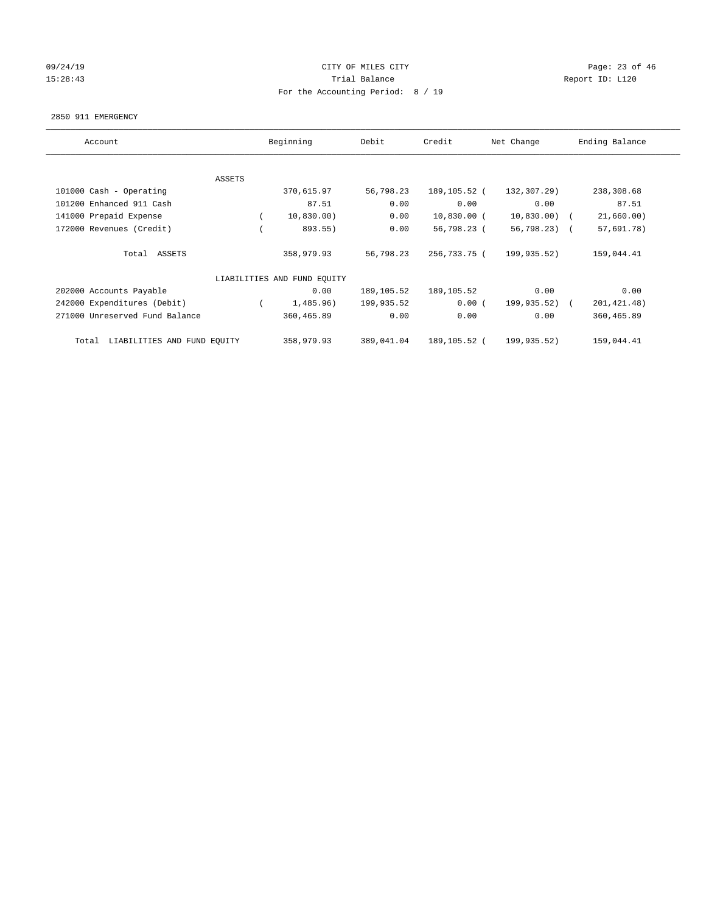# $O(24/19$  Page: 23 of 46 15:28:43 Trial Balance Trial Balance Report ID: L120 For the Accounting Period: 8 / 19

#### 2850 911 EMERGENCY

| Account                              | Beginning                   | Debit      | Credit        | Net Change     | Ending Balance |
|--------------------------------------|-----------------------------|------------|---------------|----------------|----------------|
| ASSETS                               |                             |            |               |                |                |
| 101000 Cash - Operating              | 370,615.97                  | 56,798.23  | 189,105.52 (  | 132,307.29)    | 238,308.68     |
| 101200 Enhanced 911 Cash             | 87.51                       | 0.00       | 0.00          | 0.00           | 87.51          |
| 141000 Prepaid Expense               | 10,830.00)                  | 0.00       | $10,830.00$ ( | $10,830.00)$ ( | 21,660.00)     |
| 172000 Revenues (Credit)             | 893.55)                     | 0.00       | 56,798.23 (   | 56,798.23) (   | 57,691.78)     |
| Total ASSETS                         | 358,979.93                  | 56,798.23  | 256,733.75 (  | 199,935.52)    | 159,044.41     |
|                                      | LIABILITIES AND FUND EQUITY |            |               |                |                |
| 202000 Accounts Payable              | 0.00                        | 189,105.52 | 189,105.52    | 0.00           | 0.00           |
| 242000 Expenditures (Debit)          | 1,485.96)                   | 199,935.52 | 0.00(         | 199,935.52) (  | 201, 421. 48)  |
| 271000 Unreserved Fund Balance       | 360,465.89                  | 0.00       | 0.00          | 0.00           | 360,465.89     |
| LIABILITIES AND FUND EQUITY<br>Total | 358,979.93                  | 389,041.04 | 189,105.52 (  | 199,935.52)    | 159,044.41     |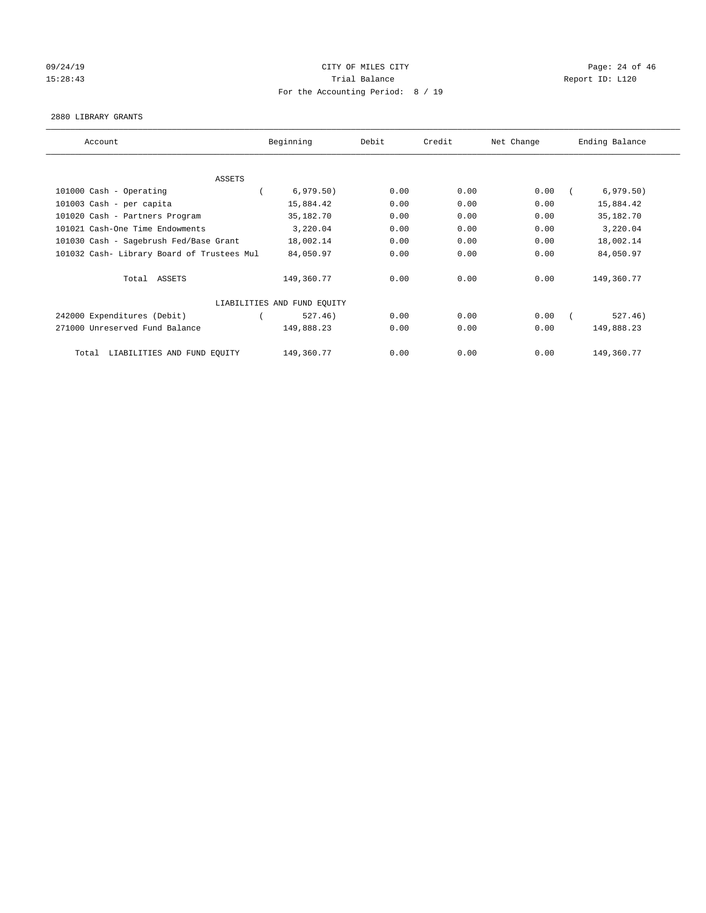# 09/24/19 Page: 24 of 46 15:28:43 Trial Balance Trial Balance Report ID: L120 For the Accounting Period: 8 / 19

#### 2880 LIBRARY GRANTS

| Account                                    | Beginning                   | Debit | Credit | Net Change | Ending Balance |
|--------------------------------------------|-----------------------------|-------|--------|------------|----------------|
| ASSETS                                     |                             |       |        |            |                |
| 101000 Cash - Operating                    | 6,979.50)                   | 0.00  | 0.00   | 0.00       | 6,979.50)      |
| 101003 Cash - per capita                   | 15,884.42                   | 0.00  | 0.00   | 0.00       | 15,884.42      |
| 101020 Cash - Partners Program             | 35,182.70                   | 0.00  | 0.00   | 0.00       | 35,182.70      |
| 101021 Cash-One Time Endowments            | 3,220.04                    | 0.00  | 0.00   | 0.00       | 3,220.04       |
| 101030 Cash - Sagebrush Fed/Base Grant     | 18,002.14                   | 0.00  | 0.00   | 0.00       | 18,002.14      |
| 101032 Cash- Library Board of Trustees Mul | 84,050.97                   | 0.00  | 0.00   | 0.00       | 84,050.97      |
| Total ASSETS                               | 149,360.77                  | 0.00  | 0.00   | 0.00       | 149,360.77     |
|                                            | LIABILITIES AND FUND EQUITY |       |        |            |                |
| 242000 Expenditures (Debit)                | 527.46)                     | 0.00  | 0.00   | 0.00       | 527.46)        |
| 271000 Unreserved Fund Balance             | 149,888.23                  | 0.00  | 0.00   | 0.00       | 149,888.23     |
| LIABILITIES AND FUND EQUITY<br>Total       | 149,360.77                  | 0.00  | 0.00   | 0.00       | 149,360.77     |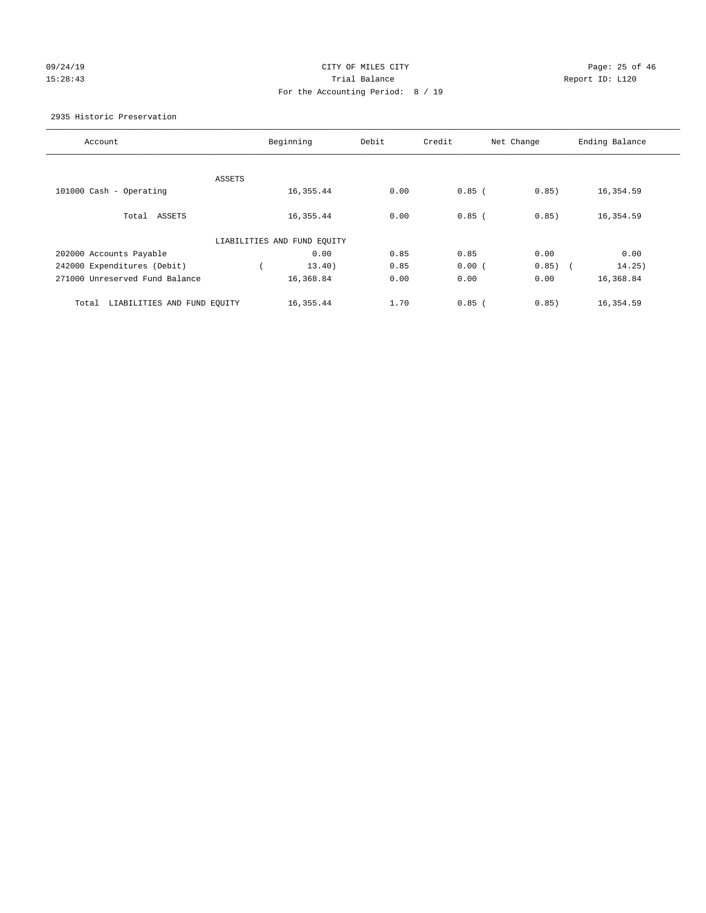# 09/24/19 CITY OF MILES CITY CHECK CONTROL CONTROL Page: 25 of 46 15:28:43 Trial Balance Report ID: L120 For the Accounting Period: 8 / 19

2935 Historic Preservation

| Account                              |        | Beginning                   | Debit | Credit   | Net Change | Ending Balance       |
|--------------------------------------|--------|-----------------------------|-------|----------|------------|----------------------|
|                                      |        |                             |       |          |            |                      |
|                                      | ASSETS |                             |       |          |            |                      |
| 101000 Cash - Operating              |        | 16, 355.44                  | 0.00  | $0.85$ ( | 0.85)      | 16,354.59            |
|                                      |        |                             |       |          |            |                      |
| Total ASSETS                         |        | 16, 355.44                  | 0.00  | $0.85$ ( | 0.85)      | 16,354.59            |
|                                      |        |                             |       |          |            |                      |
|                                      |        | LIABILITIES AND FUND EQUITY |       |          |            |                      |
| 202000 Accounts Payable              |        | 0.00                        | 0.85  | 0.85     | 0.00       | 0.00                 |
| 242000 Expenditures (Debit)          |        | 13.40)                      | 0.85  | 0.00(    | 0.85)      | 14.25)<br>$\sqrt{2}$ |
| 271000 Unreserved Fund Balance       |        | 16,368.84                   | 0.00  | 0.00     | 0.00       | 16,368.84            |
|                                      |        |                             |       |          |            |                      |
| LIABILITIES AND FUND EQUITY<br>Total |        | 16, 355.44                  | 1.70  | $0.85$ ( | 0.85)      | 16,354.59            |
|                                      |        |                             |       |          |            |                      |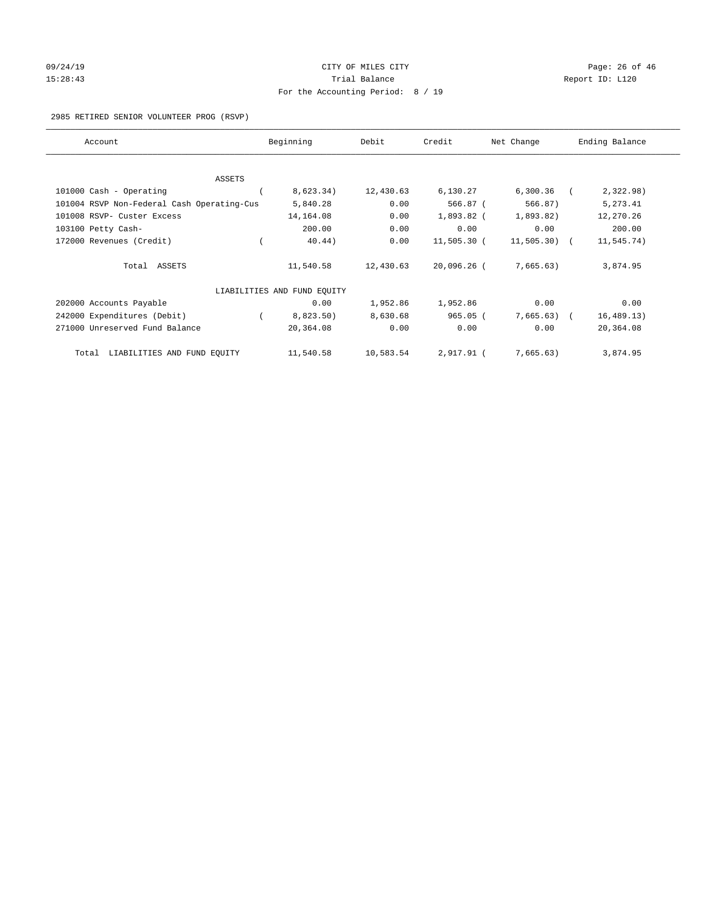# 09/24/19 Page: 26 of 46 15:28:43 Trial Balance Trial Balance Report ID: L120 For the Accounting Period: 8 / 19

2985 RETIRED SENIOR VOLUNTEER PROG (RSVP)

| Account                                    | Beginning                   | Debit     | Credit        | Net Change    | Ending Balance |
|--------------------------------------------|-----------------------------|-----------|---------------|---------------|----------------|
|                                            |                             |           |               |               |                |
| <b>ASSETS</b>                              |                             |           |               |               |                |
| 101000 Cash - Operating                    | 8,623.34)                   | 12,430.63 | 6,130.27      | 6,300.36      | 2,322.98)      |
| 101004 RSVP Non-Federal Cash Operating-Cus | 5,840.28                    | 0.00      | 566.87 (      | 566.87)       | 5,273.41       |
| 101008 RSVP- Custer Excess                 | 14,164.08                   | 0.00      | 1,893.82 (    | 1,893.82)     | 12,270.26      |
| 103100 Petty Cash-                         | 200.00                      | 0.00      | 0.00          | 0.00          | 200.00         |
| 172000 Revenues (Credit)                   | 40.44)                      | 0.00      | 11,505.30 (   | $11,505.30$ ( | 11,545.74)     |
| Total ASSETS                               | 11,540.58                   | 12,430.63 | $20,096.26$ ( | 7,665.63)     | 3,874.95       |
|                                            | LIABILITIES AND FUND EQUITY |           |               |               |                |
| 202000 Accounts Payable                    | 0.00                        | 1,952.86  | 1,952.86      | 0.00          | 0.00           |
| 242000 Expenditures (Debit)                | 8,823.50)                   | 8,630.68  | $965.05$ (    | 7,665.63)     | 16, 489.13)    |
| 271000 Unreserved Fund Balance             | 20,364.08                   | 0.00      | 0.00          | 0.00          | 20,364.08      |
| LIABILITIES AND FUND EQUITY<br>Total       | 11,540.58                   | 10,583.54 | 2,917.91 (    | 7,665.63)     | 3,874.95       |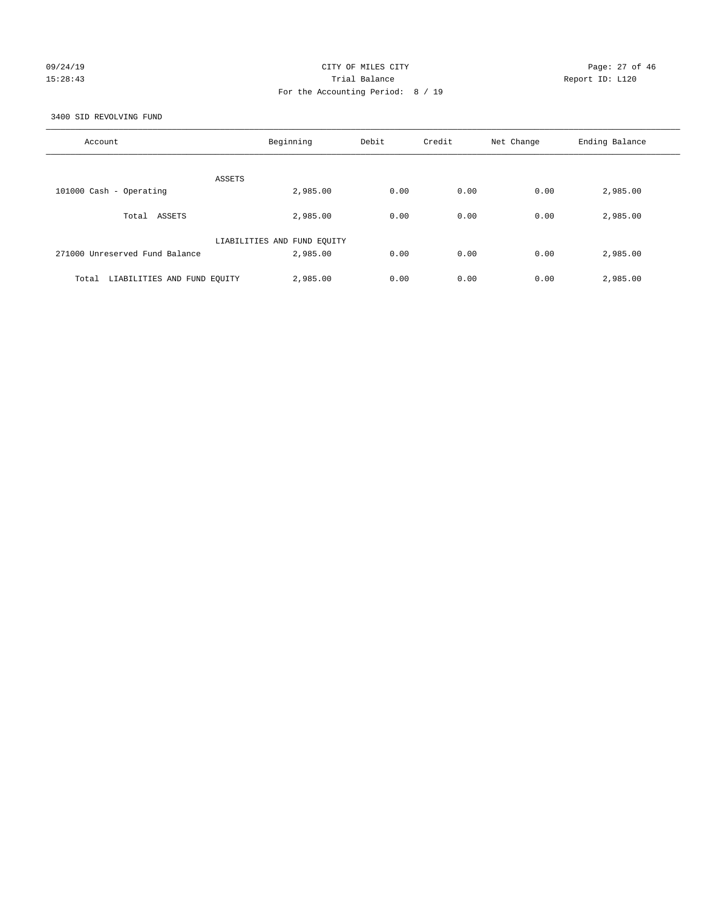# 09/24/19 Page: 27 of 46 15:28:43 Trial Balance Report ID: L120 For the Accounting Period: 8 / 19

3400 SID REVOLVING FUND

| Account                              | Beginning                   | Debit | Credit | Net Change | Ending Balance |
|--------------------------------------|-----------------------------|-------|--------|------------|----------------|
| ASSETS                               |                             |       |        |            |                |
| 101000 Cash - Operating              | 2,985.00                    | 0.00  | 0.00   | 0.00       | 2,985.00       |
| Total ASSETS                         | 2,985.00                    | 0.00  | 0.00   | 0.00       | 2,985.00       |
|                                      | LIABILITIES AND FUND EQUITY |       |        |            |                |
| 271000 Unreserved Fund Balance       | 2,985.00                    | 0.00  | 0.00   | 0.00       | 2,985.00       |
| LIABILITIES AND FUND EQUITY<br>Total | 2,985.00                    | 0.00  | 0.00   | 0.00       | 2,985.00       |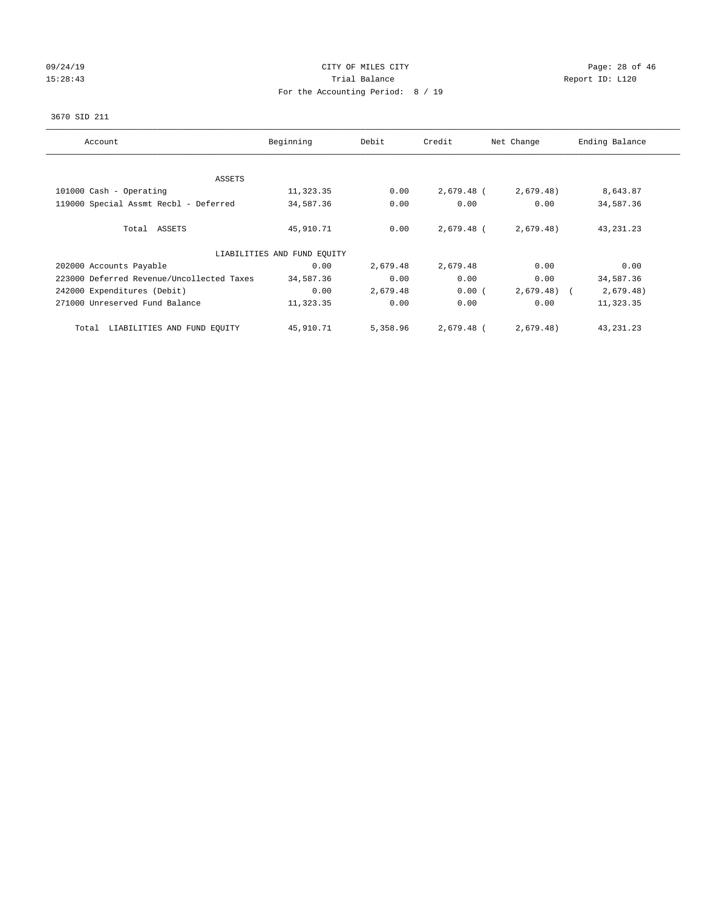# $O(24/19$  Page: 28 of 46 15:28:43 Trial Balance Trial Balance Report ID: L120 For the Accounting Period: 8 / 19

#### 3670 SID 211

| Account                                   | Beginning                   | Debit    | Credit     | Net Change   | Ending Balance |
|-------------------------------------------|-----------------------------|----------|------------|--------------|----------------|
|                                           |                             |          |            |              |                |
| <b>ASSETS</b>                             |                             |          |            |              |                |
| 101000 Cash - Operating                   | 11,323.35                   | 0.00     | 2,679.48 ( | 2,679.48)    | 8,643.87       |
| 119000 Special Assmt Recbl - Deferred     | 34,587.36                   | 0.00     | 0.00       | 0.00         | 34,587.36      |
| Total ASSETS                              | 45,910.71                   | 0.00     | 2,679.48 ( | 2,679.48)    | 43, 231. 23    |
|                                           | LIABILITIES AND FUND EQUITY |          |            |              |                |
| 202000 Accounts Payable                   | 0.00                        | 2,679.48 | 2,679.48   | 0.00         | 0.00           |
| 223000 Deferred Revenue/Uncollected Taxes | 34,587.36                   | 0.00     | 0.00       | 0.00         | 34,587.36      |
| 242000 Expenditures (Debit)               | 0.00                        | 2,679.48 | 0.00(      | $2,679.48$ ( | 2,679.48)      |
| 271000 Unreserved Fund Balance            | 11,323.35                   | 0.00     | 0.00       | 0.00         | 11,323.35      |
| LIABILITIES AND FUND EQUITY<br>Total      | 45,910.71                   | 5,358.96 | 2,679.48 ( | 2,679.48)    | 43, 231. 23    |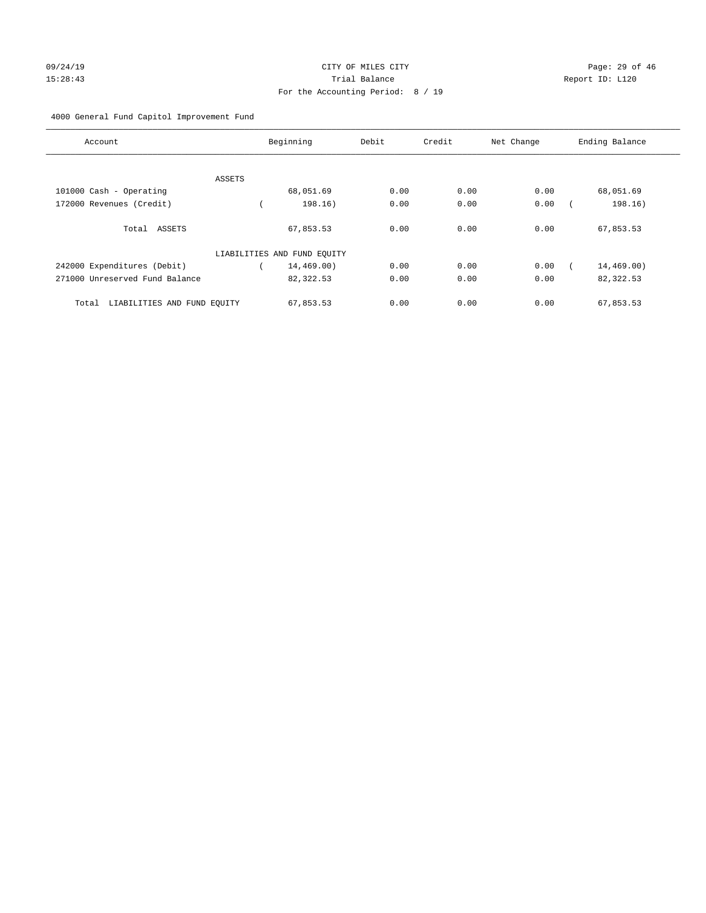# For the Accounting Period: 8 / 19

# 4000 General Fund Capitol Improvement Fund

| Account                              |        | Beginning                   | Debit | Credit | Net Change | Ending Balance |
|--------------------------------------|--------|-----------------------------|-------|--------|------------|----------------|
|                                      |        |                             |       |        |            |                |
|                                      | ASSETS |                             |       |        |            |                |
| 101000 Cash - Operating              |        | 68,051.69                   | 0.00  | 0.00   | 0.00       | 68,051.69      |
| 172000 Revenues (Credit)             |        | 198.16)                     | 0.00  | 0.00   | 0.00       | 198.16)        |
| Total ASSETS                         |        | 67,853.53                   | 0.00  | 0.00   | 0.00       | 67,853.53      |
|                                      |        | LIABILITIES AND FUND EQUITY |       |        |            |                |
| 242000 Expenditures (Debit)          |        | 14,469.00)                  | 0.00  | 0.00   | 0.00       | 14,469.00)     |
| 271000 Unreserved Fund Balance       |        | 82,322.53                   | 0.00  | 0.00   | 0.00       | 82,322.53      |
| LIABILITIES AND FUND EQUITY<br>Total |        | 67,853.53                   | 0.00  | 0.00   | 0.00       | 67,853.53      |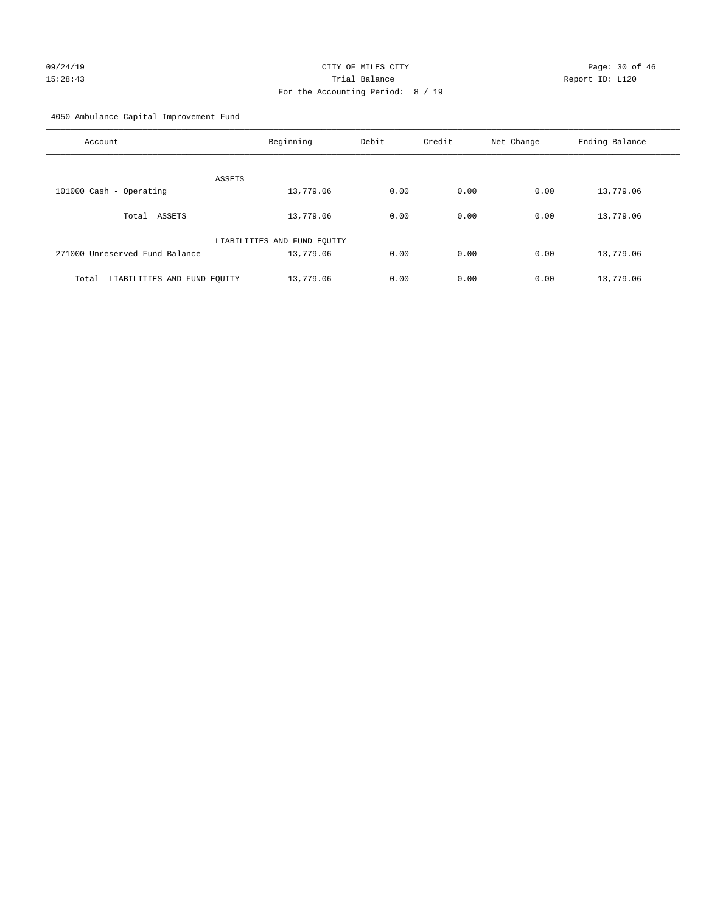# 09/24/19 **Page: 30 of 46** CITY OF MILES CITY 15:28:43 Trial Balance Report ID: L120 For the Accounting Period: 8 / 19

4050 Ambulance Capital Improvement Fund

| Account                              | Beginning                   | Debit | Credit | Net Change | Ending Balance |
|--------------------------------------|-----------------------------|-------|--------|------------|----------------|
| <b>ASSETS</b>                        |                             |       |        |            |                |
| 101000 Cash - Operating              | 13,779.06                   | 0.00  | 0.00   | 0.00       | 13,779.06      |
| Total ASSETS                         | 13,779.06                   | 0.00  | 0.00   | 0.00       | 13,779.06      |
|                                      | LIABILITIES AND FUND EQUITY |       |        |            |                |
| 271000 Unreserved Fund Balance       | 13,779.06                   | 0.00  | 0.00   | 0.00       | 13,779.06      |
| LIABILITIES AND FUND EQUITY<br>Total | 13,779.06                   | 0.00  | 0.00   | 0.00       | 13,779.06      |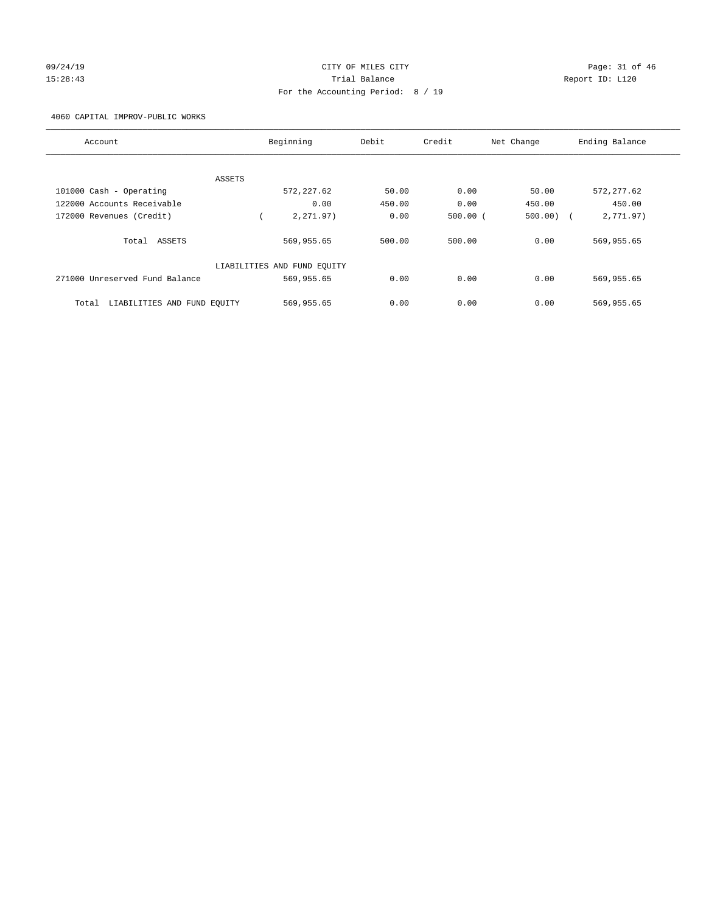# 09/24/19 Page: 31 of 46 15:28:43 Trial Balance Report ID: L120 For the Accounting Period: 8 / 19

4060 CAPITAL IMPROV-PUBLIC WORKS

| Account                              | Beginning                   | Debit  | Credit       | Net Change  | Ending Balance |
|--------------------------------------|-----------------------------|--------|--------------|-------------|----------------|
|                                      |                             |        |              |             |                |
| ASSETS                               |                             |        |              |             |                |
| 101000 Cash - Operating              | 572, 227.62                 | 50.00  | 0.00         | 50.00       | 572, 277.62    |
| 122000 Accounts Receivable           | 0.00                        | 450.00 | 0.00         | 450.00      | 450.00         |
| 172000 Revenues (Credit)             | 2.271.97)                   | 0.00   | $500.00$ $($ | $500.00)$ ( | 2,771.97)      |
| Total ASSETS                         | 569,955.65                  | 500.00 | 500.00       | 0.00        | 569,955.65     |
|                                      | LIABILITIES AND FUND EQUITY |        |              |             |                |
| 271000 Unreserved Fund Balance       | 569,955.65                  | 0.00   | 0.00         | 0.00        | 569,955.65     |
| LIABILITIES AND FUND EQUITY<br>Total | 569,955.65                  | 0.00   | 0.00         | 0.00        | 569,955.65     |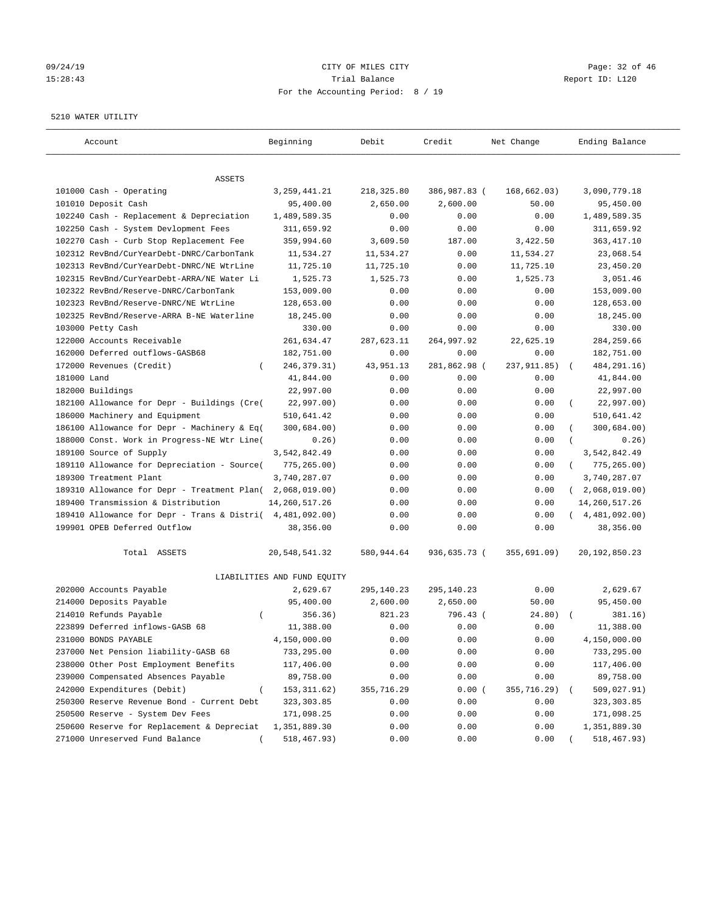# 09/24/19 Page: 32 of 46 15:28:43 Trial Balance Report ID: L120 For the Accounting Period: 8 / 19

#### 5210 WATER UTILITY

| Account                                     | Beginning                   | Debit       | Credit       | Net Change   | Ending Balance            |
|---------------------------------------------|-----------------------------|-------------|--------------|--------------|---------------------------|
| ASSETS                                      |                             |             |              |              |                           |
| 101000 Cash - Operating                     | 3, 259, 441. 21             | 218,325.80  | 386,987.83 ( | 168, 662.03) | 3,090,779.18              |
| 101010 Deposit Cash                         | 95,400.00                   | 2,650.00    | 2,600.00     | 50.00        | 95,450.00                 |
| 102240 Cash - Replacement & Depreciation    | 1,489,589.35                | 0.00        | 0.00         | 0.00         | 1,489,589.35              |
| 102250 Cash - System Devlopment Fees        | 311,659.92                  | 0.00        | 0.00         | 0.00         | 311,659.92                |
| 102270 Cash - Curb Stop Replacement Fee     | 359,994.60                  | 3,609.50    | 187.00       | 3,422.50     | 363, 417.10               |
| 102312 RevBnd/CurYearDebt-DNRC/CarbonTank   | 11,534.27                   | 11,534.27   | 0.00         | 11,534.27    | 23,068.54                 |
| 102313 RevBnd/CurYearDebt-DNRC/NE WtrLine   | 11,725.10                   | 11,725.10   | 0.00         | 11,725.10    | 23,450.20                 |
| 102315 RevBnd/CurYearDebt-ARRA/NE Water Li  | 1,525.73                    | 1,525.73    | 0.00         | 1,525.73     | 3,051.46                  |
| 102322 RevBnd/Reserve-DNRC/CarbonTank       | 153,009.00                  | 0.00        | 0.00         | 0.00         | 153,009.00                |
| 102323 RevBnd/Reserve-DNRC/NE WtrLine       | 128,653.00                  | 0.00        | 0.00         | 0.00         | 128,653.00                |
| 102325 RevBnd/Reserve-ARRA B-NE Waterline   | 18,245.00                   | 0.00        | 0.00         | 0.00         | 18,245.00                 |
| 103000 Petty Cash                           | 330.00                      | 0.00        | 0.00         | 0.00         | 330.00                    |
| 122000 Accounts Receivable                  | 261,634.47                  | 287,623.11  | 264,997.92   | 22,625.19    | 284, 259.66               |
| 162000 Deferred outflows-GASB68             | 182,751.00                  | 0.00        | 0.00         | 0.00         | 182,751.00                |
| 172000 Revenues (Credit)<br>$\left($        | 246, 379. 31)               | 43, 951. 13 | 281,862.98 ( | 237, 911.85) | 484, 291. 16)             |
| 181000 Land                                 | 41,844.00                   | 0.00        | 0.00         | 0.00         | 41,844.00                 |
| 182000 Buildings                            | 22,997.00                   | 0.00        | 0.00         | 0.00         | 22,997.00                 |
| 182100 Allowance for Depr - Buildings (Cre( | 22,997.00)                  | 0.00        | 0.00         | 0.00         | 22,997.00)                |
| 186000 Machinery and Equipment              | 510,641.42                  | 0.00        | 0.00         | 0.00         | 510,641.42                |
| 186100 Allowance for Depr - Machinery & Eq( | 300,684.00)                 | 0.00        | 0.00         | 0.00         | 300,684.00)               |
| 188000 Const. Work in Progress-NE Wtr Line( | 0.26)                       | 0.00        | 0.00         | 0.00         | 0.26)                     |
| 189100 Source of Supply                     | 3,542,842.49                | 0.00        | 0.00         | 0.00         | 3,542,842.49              |
| 189110 Allowance for Depreciation - Source( | 775, 265.00)                | 0.00        | 0.00         | 0.00         | 775, 265.00)<br>$\left($  |
| 189300 Treatment Plant                      | 3,740,287.07                | 0.00        | 0.00         | 0.00         | 3,740,287.07              |
| 189310 Allowance for Depr - Treatment Plan( | 2,068,019.00)               | 0.00        | 0.00         | 0.00         | 2,068,019.00)<br>$\left($ |
| 189400 Transmission & Distribution          | 14,260,517.26               | 0.00        | 0.00         | 0.00         | 14, 260, 517. 26          |
| 189410 Allowance for Depr - Trans & Distri( | 4,481,092.00)               | 0.00        | 0.00         | 0.00         | (4, 481, 092.00)          |
| 199901 OPEB Deferred Outflow                | 38,356.00                   | 0.00        | 0.00         | 0.00         | 38,356.00                 |
| Total ASSETS                                | 20,548,541.32               | 580,944.64  | 936,635.73 ( | 355,691.09)  | 20, 192, 850. 23          |
|                                             | LIABILITIES AND FUND EQUITY |             |              |              |                           |
| 202000 Accounts Payable                     | 2,629.67                    | 295,140.23  | 295,140.23   | 0.00         | 2,629.67                  |
| 214000 Deposits Payable                     | 95,400.00                   | 2,600.00    | 2,650.00     | 50.00        | 95,450.00                 |
| 214010 Refunds Payable<br>$\left($          | 356.36)                     | 821.23      | 796.43 (     | 24.80)       | 381.16)                   |
| 223899 Deferred inflows-GASB 68             | 11,388.00                   | 0.00        | 0.00         | 0.00         | 11,388.00                 |
| 231000 BONDS PAYABLE                        | 4,150,000.00                | 0.00        | 0.00         | 0.00         | 4,150,000.00              |
| 237000 Net Pension liability-GASB 68        | 733,295.00                  | 0.00        | 0.00         | 0.00         | 733,295.00                |
| 238000 Other Post Employment Benefits       | 117,406.00                  | 0.00        | 0.00         | 0.00         | 117,406.00                |
| 239000 Compensated Absences Payable         | 89,758.00                   | 0.00        | 0.00         | 0.00         | 89,758.00                 |
| 242000 Expenditures (Debit)                 | 153, 311.62)                | 355,716.29  | 0.00(        | 355,716.29)  | 509,027.91)               |
| 250300 Reserve Revenue Bond - Current Debt  | 323, 303.85                 | 0.00        | 0.00         | 0.00         | 323, 303.85               |
| 250500 Reserve - System Dev Fees            | 171,098.25                  | 0.00        | 0.00         | 0.00         | 171,098.25                |
| 250600 Reserve for Replacement & Depreciat  | 1,351,889.30                | 0.00        | 0.00         | 0.00         | 1,351,889.30              |
| 271000 Unreserved Fund Balance              | 518,467.93)                 | 0.00        | 0.00         | 0.00         | 518,467.93)               |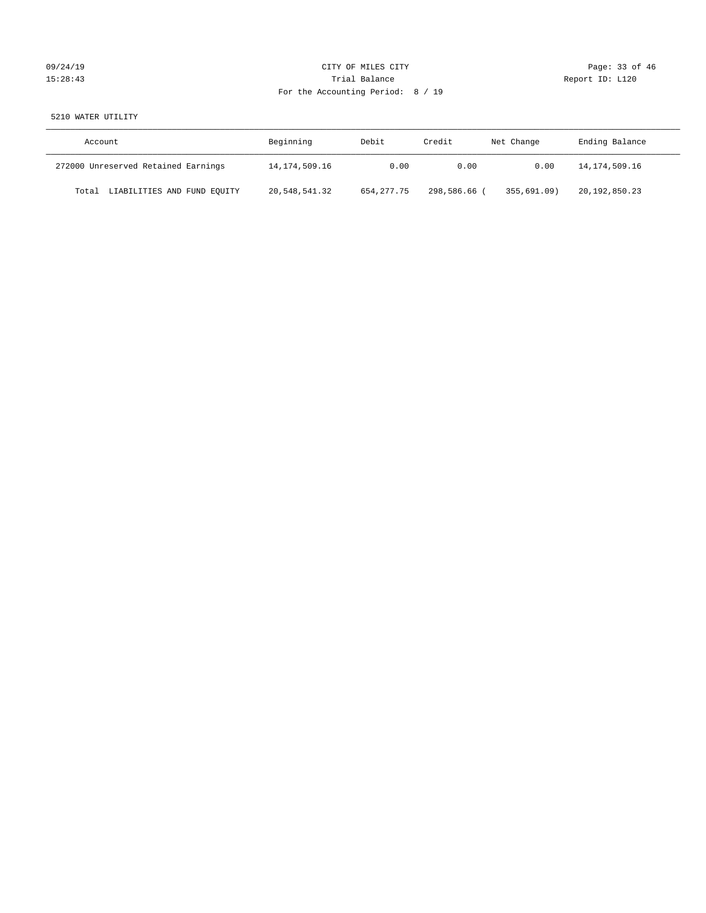| 09/24/19 |  |
|----------|--|
| 15:28:43 |  |

# CITY OF MILES CITY CONTROL CONTROL CONTROL CITY CONTROL Page: 33 of 46 15:28:43 Trial Balance Report ID: L120 For the Accounting Period: 8 / 19

# 5210 WATER UTILITY

| Account                              | Beginning     | Debit        | Credit     | Net Change  | Ending Balance |
|--------------------------------------|---------------|--------------|------------|-------------|----------------|
| 272000 Unreserved Retained Earnings  | 14,174,509.16 | 0.00         | 0.00       | 0.00        | 14,174,509.16  |
| LIABILITIES AND FUND EQUITY<br>Total | 20,548,541.32 | 654, 277, 75 | 298,586.66 | 355,691.09) | 20,192,850.23  |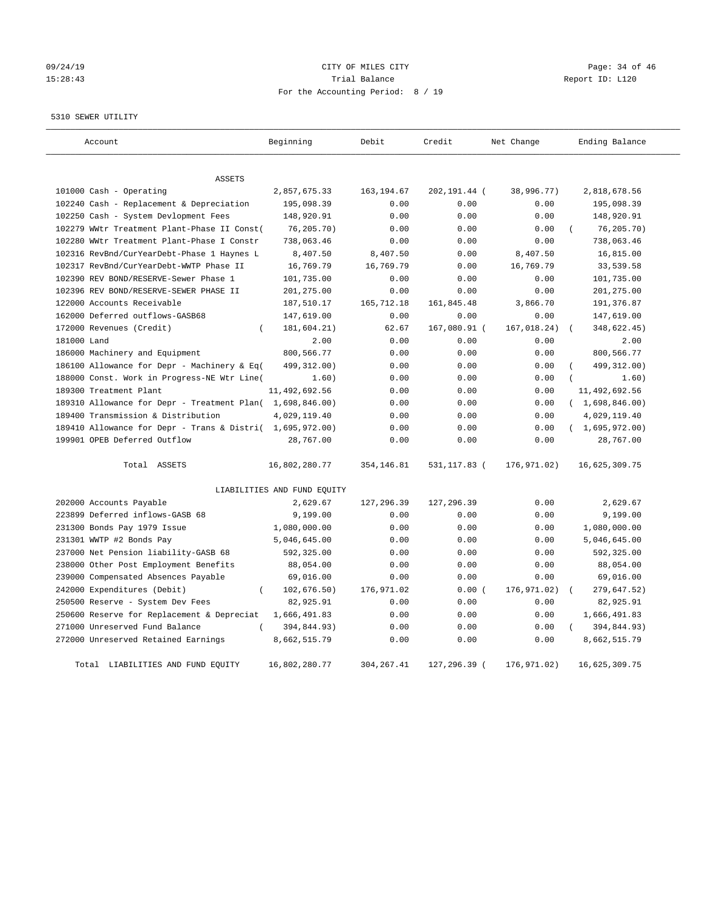# 09/24/19 **Page: 34 of 46** CITY OF MILES CITY 15:28:43 Trial Balance Trial Balance Report ID: L120 For the Accounting Period: 8 / 19

5310 SEWER UTILITY

| Account                                                   | Beginning                   | Debit       | Credit       | Net Change  | Ending Balance |
|-----------------------------------------------------------|-----------------------------|-------------|--------------|-------------|----------------|
| <b>ASSETS</b>                                             |                             |             |              |             |                |
| 101000 Cash - Operating                                   | 2,857,675.33                | 163, 194.67 | 202,191.44 ( | 38,996.77)  | 2,818,678.56   |
| 102240 Cash - Replacement & Depreciation                  | 195,098.39                  | 0.00        | 0.00         | 0.00        | 195,098.39     |
| 102250 Cash - System Devlopment Fees                      | 148,920.91                  | 0.00        | 0.00         | 0.00        | 148,920.91     |
| 102279 WWtr Treatment Plant-Phase II Const(               | 76,205.70)                  | 0.00        | 0.00         | 0.00        | 76, 205.70     |
| 102280 WWtr Treatment Plant-Phase I Constr                | 738,063.46                  | 0.00        | 0.00         | 0.00        | 738,063.46     |
| 102316 RevBnd/CurYearDebt-Phase 1 Haynes L                | 8,407.50                    | 8,407.50    | 0.00         | 8,407.50    | 16,815.00      |
| 102317 RevBnd/CurYearDebt-WWTP Phase II                   | 16,769.79                   | 16,769.79   | 0.00         | 16,769.79   | 33,539.58      |
| 102390 REV BOND/RESERVE-Sewer Phase 1                     | 101,735.00                  | 0.00        | 0.00         | 0.00        | 101,735.00     |
| 102396 REV BOND/RESERVE-SEWER PHASE II                    | 201,275.00                  | 0.00        | 0.00         | 0.00        | 201,275.00     |
| 122000 Accounts Receivable                                | 187,510.17                  | 165,712.18  | 161,845.48   | 3,866.70    | 191,376.87     |
| 162000 Deferred outflows-GASB68                           | 147,619.00                  | 0.00        | 0.00         | 0.00        | 147,619.00     |
| 172000 Revenues (Credit)<br>$\left($                      | 181,604.21)                 | 62.67       | 167,080.91 ( | 167,018.24) | 348,622.45)    |
| 181000 Land                                               | 2.00                        | 0.00        | 0.00         | 0.00        | 2.00           |
| 186000 Machinery and Equipment                            | 800,566.77                  | 0.00        | 0.00         | 0.00        | 800,566.77     |
| 186100 Allowance for Depr - Machinery & Eq(               | 499, 312.00)                | 0.00        | 0.00         | 0.00        | 499, 312.00)   |
| 188000 Const. Work in Progress-NE Wtr Line(               | 1.60)                       | 0.00        | 0.00         | 0.00        | 1.60)          |
| 189300 Treatment Plant                                    | 11, 492, 692.56             | 0.00        | 0.00         | 0.00        | 11,492,692.56  |
| 189310 Allowance for Depr - Treatment Plan( 1,698,846.00) |                             | 0.00        | 0.00         | 0.00        | (1,698,846.00) |
| 189400 Transmission & Distribution                        | 4,029,119.40                | 0.00        | 0.00         | 0.00        | 4,029,119.40   |
| 189410 Allowance for Depr - Trans & Distri( 1,695,972.00) |                             | 0.00        | 0.00         | 0.00        | (1,695,972.00) |
| 199901 OPEB Deferred Outflow                              | 28,767.00                   | 0.00        | 0.00         | 0.00        | 28,767.00      |
|                                                           |                             |             |              |             |                |
| Total ASSETS                                              | 16,802,280.77               | 354, 146.81 | 531,117.83 ( | 176,971.02) | 16,625,309.75  |
|                                                           | LIABILITIES AND FUND EQUITY |             |              |             |                |
| 202000 Accounts Payable                                   | 2,629.67                    | 127,296.39  | 127,296.39   | 0.00        | 2,629.67       |
| 223899 Deferred inflows-GASB 68                           | 9,199.00                    | 0.00        | 0.00         | 0.00        | 9,199.00       |
| 231300 Bonds Pay 1979 Issue                               | 1,080,000.00                | 0.00        | 0.00         | 0.00        | 1,080,000.00   |
| 231301 WWTP #2 Bonds Pay                                  | 5,046,645.00                | 0.00        | 0.00         | 0.00        | 5,046,645.00   |
| 237000 Net Pension liability-GASB 68                      | 592,325.00                  | 0.00        | 0.00         | 0.00        | 592,325.00     |
| 238000 Other Post Employment Benefits                     | 88,054.00                   | 0.00        | 0.00         | 0.00        | 88,054.00      |
| 239000 Compensated Absences Payable                       | 69,016.00                   | 0.00        | 0.00         | 0.00        | 69,016.00      |
| 242000 Expenditures (Debit)<br>$\overline{(\ }$           | 102, 676.50)                | 176,971.02  | 0.00(        | 176,971.02) | 279,647.52)    |
| 250500 Reserve - System Dev Fees                          | 82,925.91                   | 0.00        | 0.00         | 0.00        | 82,925.91      |
| 250600 Reserve for Replacement & Depreciat                | 1,666,491.83                | 0.00        | 0.00         | 0.00        | 1,666,491.83   |
| 271000 Unreserved Fund Balance                            | 394,844.93)                 | 0.00        | 0.00         | 0.00        | 394,844.93)    |
| 272000 Unreserved Retained Earnings                       | 8,662,515.79                | 0.00        | 0.00         | 0.00        | 8,662,515.79   |
| Total LIABILITIES AND FUND EQUITY                         | 16,802,280.77               | 304, 267.41 | 127,296.39 ( | 176,971.02) | 16,625,309.75  |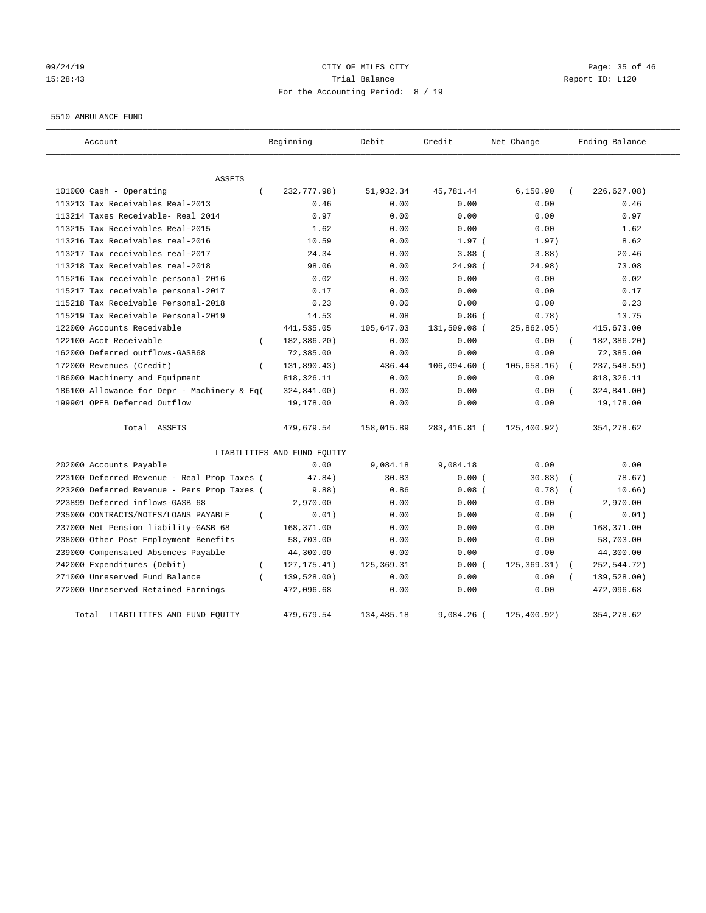# 09/24/19 Page: 35 of 46 15:28:43 Trial Balance Report ID: L120 For the Accounting Period: 8 / 19

#### 5510 AMBULANCE FUND

| Account                                          | Beginning                   | Debit        | Credit       | Net Change   | Ending Balance          |
|--------------------------------------------------|-----------------------------|--------------|--------------|--------------|-------------------------|
| ASSETS                                           |                             |              |              |              |                         |
| 101000 Cash - Operating<br>$\left($              | 232,777.98)                 | 51,932.34    | 45,781.44    | 6,150.90     | 226,627.08)             |
| 113213 Tax Receivables Real-2013                 | 0.46                        | 0.00         | 0.00         | 0.00         | 0.46                    |
| 113214 Taxes Receivable- Real 2014               | 0.97                        | 0.00         | 0.00         | 0.00         | 0.97                    |
| 113215 Tax Receivables Real-2015                 | 1.62                        | 0.00         | 0.00         | 0.00         | 1.62                    |
| 113216 Tax Receivables real-2016                 | 10.59                       | 0.00         | 1.97(        | 1.97)        | 8.62                    |
| 113217 Tax receivables real-2017                 | 24.34                       | 0.00         | $3.88$ (     | 3.88)        | 20.46                   |
| 113218 Tax Receivables real-2018                 | 98.06                       | 0.00         | 24.98 (      | 24.98)       | 73.08                   |
| 115216 Tax receivable personal-2016              | 0.02                        | 0.00         | 0.00         | 0.00         | 0.02                    |
| 115217 Tax receivable personal-2017              | 0.17                        | 0.00         | 0.00         | 0.00         | 0.17                    |
| 115218 Tax Receivable Personal-2018              | 0.23                        | 0.00         | 0.00         | 0.00         | 0.23                    |
| 115219 Tax Receivable Personal-2019              | 14.53                       | 0.08         | $0.86$ (     | 0.78)        | 13.75                   |
| 122000 Accounts Receivable                       | 441,535.05                  | 105,647.03   | 131,509.08 ( | 25,862.05)   | 415,673.00              |
| 122100 Acct Receivable<br>$\left($               | 182,386.20)                 | 0.00         | 0.00         | 0.00         | 182,386.20)<br>$\left($ |
| 162000 Deferred outflows-GASB68                  | 72,385.00                   | 0.00         | 0.00         | 0.00         | 72,385.00               |
| 172000 Revenues (Credit)<br>$\left($             | 131,890.43)                 | 436.44       | 106,094.60 ( | 105,658.16)  | 237,548.59)<br>$\left($ |
| 186000 Machinery and Equipment                   | 818, 326.11                 | 0.00         | 0.00         | 0.00         | 818, 326.11             |
| 186100 Allowance for Depr - Machinery & Eq(      | 324,841.00)                 | 0.00         | 0.00         | 0.00         | 324,841.00)             |
| 199901 OPEB Deferred Outflow                     | 19,178.00                   | 0.00         | 0.00         | 0.00         | 19,178.00               |
| Total ASSETS                                     | 479,679.54                  | 158,015.89   | 283,416.81 ( | 125, 400.92) | 354, 278.62             |
|                                                  | LIABILITIES AND FUND EQUITY |              |              |              |                         |
| 202000 Accounts Payable                          | 0.00                        | 9,084.18     | 9,084.18     | 0.00         | 0.00                    |
| 223100 Deferred Revenue - Real Prop Taxes (      | 47.84)                      | 30.83        | 0.00(        | 30.83)       | 78.67)                  |
| 223200 Deferred Revenue - Pers Prop Taxes (      | 9.88)                       | 0.86         | $0.08$ (     | 0.78)        | 10.66)                  |
| 223899 Deferred inflows-GASB 68                  | 2,970.00                    | 0.00         | 0.00         | 0.00         | 2,970.00                |
| 235000 CONTRACTS/NOTES/LOANS PAYABLE<br>$\left($ | 0.01)                       | 0.00         | 0.00         | 0.00         | 0.01)                   |
| 237000 Net Pension liability-GASB 68             | 168,371.00                  | 0.00         | 0.00         | 0.00         | 168,371.00              |
| 238000 Other Post Employment Benefits            | 58,703.00                   | 0.00         | 0.00         | 0.00         | 58,703.00               |
| 239000 Compensated Absences Payable              | 44,300.00                   | 0.00         | 0.00         | 0.00         | 44,300.00               |
| 242000 Expenditures (Debit)<br>$\overline{ }$    | 127, 175.41)                | 125, 369. 31 | 0.00(        | 125, 369.31) | 252, 544. 72)           |
| 271000 Unreserved Fund Balance<br>$\epsilon$     | 139,528.00)                 | 0.00         | 0.00         | 0.00         | 139,528.00)             |
| 272000 Unreserved Retained Earnings              | 472,096.68                  | 0.00         | 0.00         | 0.00         | 472,096.68              |
| LIABILITIES AND FUND EQUITY<br>Total             | 479,679.54                  | 134, 485. 18 | $9.084.26$ ( | 125, 400.92) | 354, 278.62             |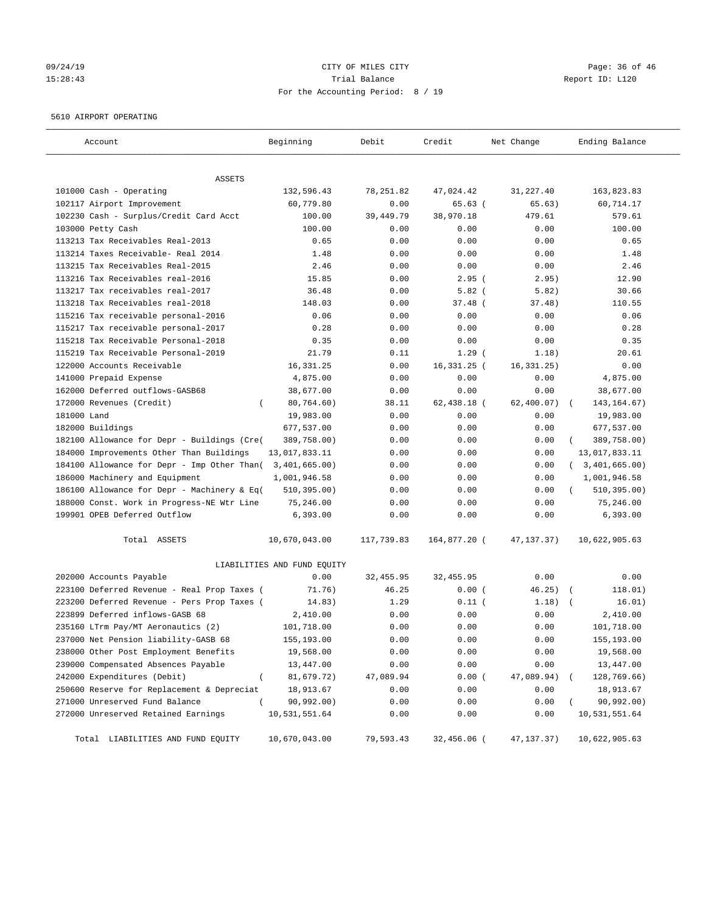# 09/24/19 Page: 36 of 46 15:28:43 Trial Balance Report ID: L120 For the Accounting Period: 8 / 19

#### 5610 AIRPORT OPERATING

| Account                                             | Beginning                   | Debit      | Credit        | Net Change   | Ending Balance   |
|-----------------------------------------------------|-----------------------------|------------|---------------|--------------|------------------|
| ASSETS                                              |                             |            |               |              |                  |
| 101000 Cash - Operating                             | 132,596.43                  | 78,251.82  | 47,024.42     | 31,227.40    | 163,823.83       |
| 102117 Airport Improvement                          | 60,779.80                   | 0.00       | 65.63 (       | 65.63)       | 60,714.17        |
| 102230 Cash - Surplus/Credit Card Acct              | 100.00                      | 39,449.79  | 38,970.18     | 479.61       | 579.61           |
| 103000 Petty Cash                                   | 100.00                      | 0.00       | 0.00          | 0.00         | 100.00           |
| 113213 Tax Receivables Real-2013                    | 0.65                        | 0.00       | 0.00          | 0.00         | 0.65             |
| 113214 Taxes Receivable- Real 2014                  | 1.48                        | 0.00       | 0.00          | 0.00         | 1.48             |
| 113215 Tax Receivables Real-2015                    | 2.46                        | 0.00       | 0.00          | 0.00         | 2.46             |
| 113216 Tax Receivables real-2016                    | 15.85                       | 0.00       | $2.95$ (      | 2.95)        | 12.90            |
| 113217 Tax receivables real-2017                    | 36.48                       | 0.00       | $5.82$ (      | 5.82)        | 30.66            |
| 113218 Tax Receivables real-2018                    | 148.03                      | 0.00       | $37.48$ (     | 37.48)       | 110.55           |
| 115216 Tax receivable personal-2016                 | 0.06                        | 0.00       | 0.00          | 0.00         | 0.06             |
| 115217 Tax receivable personal-2017                 | 0.28                        | 0.00       | 0.00          | 0.00         | 0.28             |
| 115218 Tax Receivable Personal-2018                 | 0.35                        | 0.00       | 0.00          | 0.00         | 0.35             |
| 115219 Tax Receivable Personal-2019                 | 21.79                       | 0.11       | $1.29$ (      | 1.18)        | 20.61            |
| 122000 Accounts Receivable                          | 16,331.25                   | 0.00       | 16,331.25 (   | 16, 331. 25) | 0.00             |
| 141000 Prepaid Expense                              | 4,875.00                    | 0.00       | 0.00          | 0.00         | 4,875.00         |
| 162000 Deferred outflows-GASB68                     | 38,677.00                   | 0.00       | 0.00          | 0.00         | 38,677.00        |
| 172000 Revenues (Credit)<br>-                       | 80,764.60)                  | 38.11      | $62,438.18$ ( | 62,400.07)   | 143, 164. 67)    |
| 181000 Land                                         | 19,983.00                   | 0.00       | 0.00          | 0.00         | 19,983.00        |
| 182000 Buildings                                    | 677,537.00                  | 0.00       | 0.00          | 0.00         | 677,537.00       |
| 182100 Allowance for Depr - Buildings (Cre(         | 389,758.00)                 | 0.00       | 0.00          | 0.00         | 389,758.00)      |
| 184000 Improvements Other Than Buildings            | 13,017,833.11               | 0.00       | 0.00          | 0.00         | 13,017,833.11    |
| 184100 Allowance for Depr - Imp Other Than(         | 3,401,665.00)               | 0.00       | 0.00          | 0.00         | (3, 401, 665.00) |
| 186000 Machinery and Equipment                      | 1,001,946.58                | 0.00       | 0.00          | 0.00         | 1,001,946.58     |
| 186100 Allowance for Depr - Machinery & Eq(         | 510, 395.00)                | 0.00       | 0.00          | 0.00         | 510, 395.00)     |
| 188000 Const. Work in Progress-NE Wtr Line          | 75,246.00                   | 0.00       | 0.00          | 0.00         | 75,246.00        |
| 199901 OPEB Deferred Outflow                        | 6,393.00                    | 0.00       | 0.00          | 0.00         | 6,393.00         |
| Total ASSETS                                        | 10,670,043.00               | 117,739.83 | 164,877.20 (  | 47,137.37)   | 10,622,905.63    |
|                                                     | LIABILITIES AND FUND EQUITY |            |               |              |                  |
| 202000 Accounts Payable                             | 0.00                        | 32,455.95  | 32,455.95     | 0.00         | 0.00             |
| 223100 Deferred Revenue - Real Prop Taxes (         | 71.76)                      | 46.25      | 0.00(         | 46.25)       | 118.01)          |
| 223200 Deferred Revenue - Pers Prop Taxes (         | 14.83)                      | 1.29       | $0.11$ (      | 1.18)        | 16.01)           |
| 223899 Deferred inflows-GASB 68                     | 2,410.00                    | 0.00       | 0.00          | 0.00         | 2,410.00         |
| 235160 LTrm Pay/MT Aeronautics (2)                  | 101,718.00                  | 0.00       | 0.00          | 0.00         | 101,718.00       |
| 237000 Net Pension liability-GASB 68                | 155,193.00                  | 0.00       | 0.00          | 0.00         | 155,193.00       |
| 238000 Other Post Employment Benefits               | 19,568.00                   | 0.00       | 0.00          | 0.00         | 19,568.00        |
| 239000 Compensated Absences Payable                 | 13,447.00                   | 0.00       | 0.00          | 0.00         | 13,447.00        |
| 242000 Expenditures (Debit)<br>$\overline{(\cdot)}$ | 81,679.72)                  | 47,089.94  | 0.00(         | 47,089.94)   | 128,769.66)      |
| 250600 Reserve for Replacement & Depreciat          | 18,913.67                   | 0.00       | 0.00          | 0.00         | 18,913.67        |
| 271000 Unreserved Fund Balance<br><sup>-</sup>      | 90,992.00)                  | 0.00       | 0.00          | 0.00         | 90,992.00)       |
| 272000 Unreserved Retained Earnings                 | 10,531,551.64               | 0.00       | 0.00          | 0.00         | 10,531,551.64    |
| Total LIABILITIES AND FUND EQUITY                   | 10,670,043.00               | 79,593.43  | 32,456.06 (   | 47,137.37)   | 10,622,905.63    |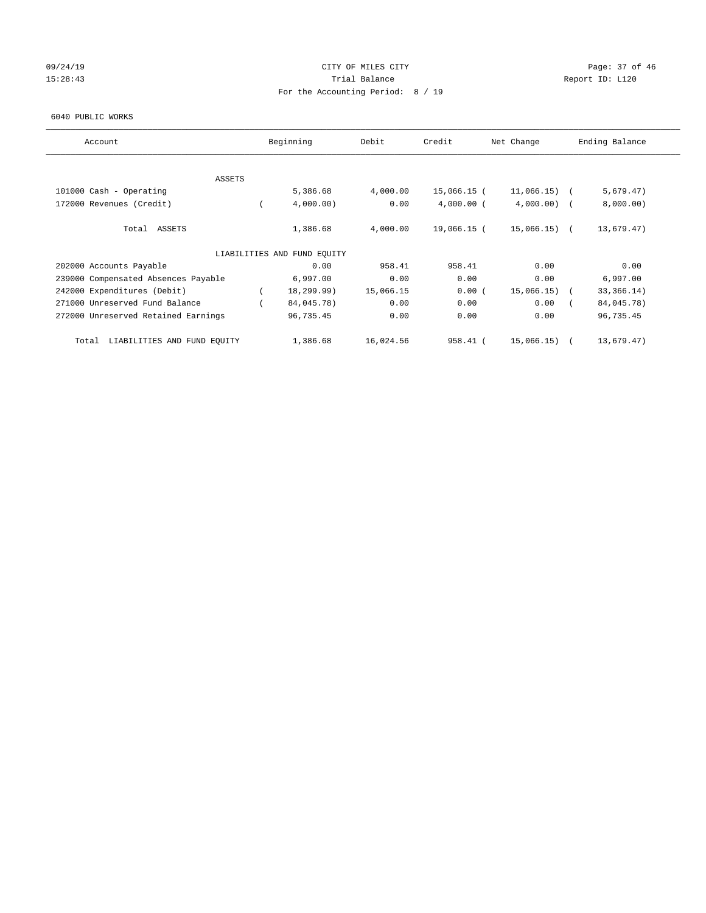# 09/24/19 Page: 37 of 46 15:28:43 Trial Balance Trial Balance Report ID: L120 For the Accounting Period: 8 / 19

#### 6040 PUBLIC WORKS

| Account                              | Beginning                   | Debit     | Credit       | Net Change     | Ending Balance |
|--------------------------------------|-----------------------------|-----------|--------------|----------------|----------------|
| ASSETS                               |                             |           |              |                |                |
| 101000 Cash - Operating              | 5,386.68                    | 4,000.00  | 15,066.15 (  | 11,066.15)     | 5,679.47)      |
| 172000 Revenues (Credit)             | 4,000.00)                   | 0.00      | $4,000.00$ ( | $4,000.00)$ (  | 8,000.00)      |
| Total ASSETS                         | 1,386.68                    | 4,000.00  | 19,066.15 (  | $15,066.15)$ ( | 13,679.47)     |
|                                      | LIABILITIES AND FUND EQUITY |           |              |                |                |
| 202000 Accounts Payable              | 0.00                        | 958.41    | 958.41       | 0.00           | 0.00           |
| 239000 Compensated Absences Payable  | 6,997.00                    | 0.00      | 0.00         | 0.00           | 6,997.00       |
| 242000 Expenditures (Debit)          | 18,299.99)                  | 15,066.15 | 0.00(        | $15,066.15)$ ( | 33, 366. 14)   |
| 271000 Unreserved Fund Balance       | 84,045.78)                  | 0.00      | 0.00         | 0.00           | 84,045.78)     |
| 272000 Unreserved Retained Earnings  | 96,735.45                   | 0.00      | 0.00         | 0.00           | 96,735.45      |
| LIABILITIES AND FUND EQUITY<br>Total | 1,386.68                    | 16,024.56 | 958.41 (     | 15,066.15)     | 13,679.47)     |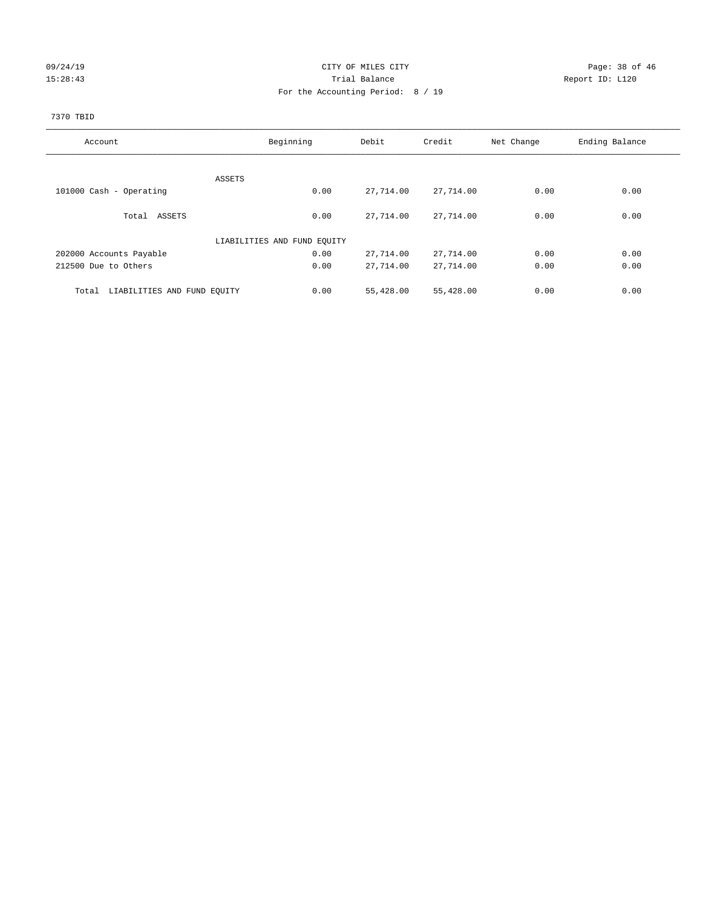# 09/24/19 Page: 38 of 46 15:28:43 Trial Balance Trial Balance Report ID: L120 For the Accounting Period: 8 / 19

# 7370 TBID

| Account                              | Beginning                   | Debit     | Credit    | Net Change | Ending Balance |
|--------------------------------------|-----------------------------|-----------|-----------|------------|----------------|
|                                      |                             |           |           |            |                |
|                                      | ASSETS                      |           |           |            |                |
| 101000 Cash - Operating              | 0.00                        | 27,714.00 | 27,714.00 | 0.00       | 0.00           |
| Total ASSETS                         | 0.00                        | 27,714.00 | 27,714.00 | 0.00       | 0.00           |
|                                      |                             |           |           |            |                |
|                                      | LIABILITIES AND FUND EQUITY |           |           |            |                |
| 202000 Accounts Payable              | 0.00                        | 27,714.00 | 27,714.00 | 0.00       | 0.00           |
| 212500 Due to Others                 | 0.00                        | 27,714.00 | 27,714.00 | 0.00       | 0.00           |
|                                      |                             |           |           |            |                |
| LIABILITIES AND FUND EQUITY<br>Total | 0.00                        | 55,428.00 | 55,428.00 | 0.00       | 0.00           |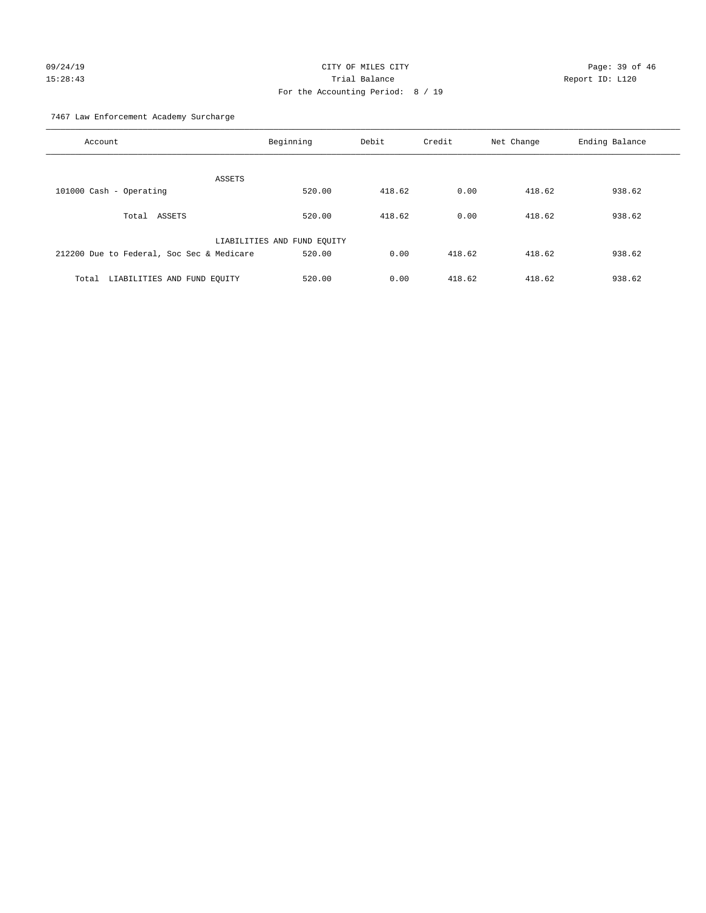# 09/24/19 CITY OF MILES CITY CHECK CONTROL Page: 39 of 46 15:28:43 Trial Balance Report ID: L120 For the Accounting Period: 8 / 19

7467 Law Enforcement Academy Surcharge

| Account                                   | Beginning                   | Debit  | Credit | Net Change | Ending Balance |
|-------------------------------------------|-----------------------------|--------|--------|------------|----------------|
|                                           | ASSETS                      |        |        |            |                |
| 101000 Cash - Operating                   | 520.00                      | 418.62 | 0.00   | 418.62     | 938.62         |
| Total ASSETS                              | 520.00                      | 418.62 | 0.00   | 418.62     | 938.62         |
|                                           | LIABILITIES AND FUND EQUITY |        |        |            |                |
| 212200 Due to Federal, Soc Sec & Medicare | 520.00                      | 0.00   | 418.62 | 418.62     | 938.62         |
| LIABILITIES AND FUND EQUITY<br>Total      | 520.00                      | 0.00   | 418.62 | 418.62     | 938.62         |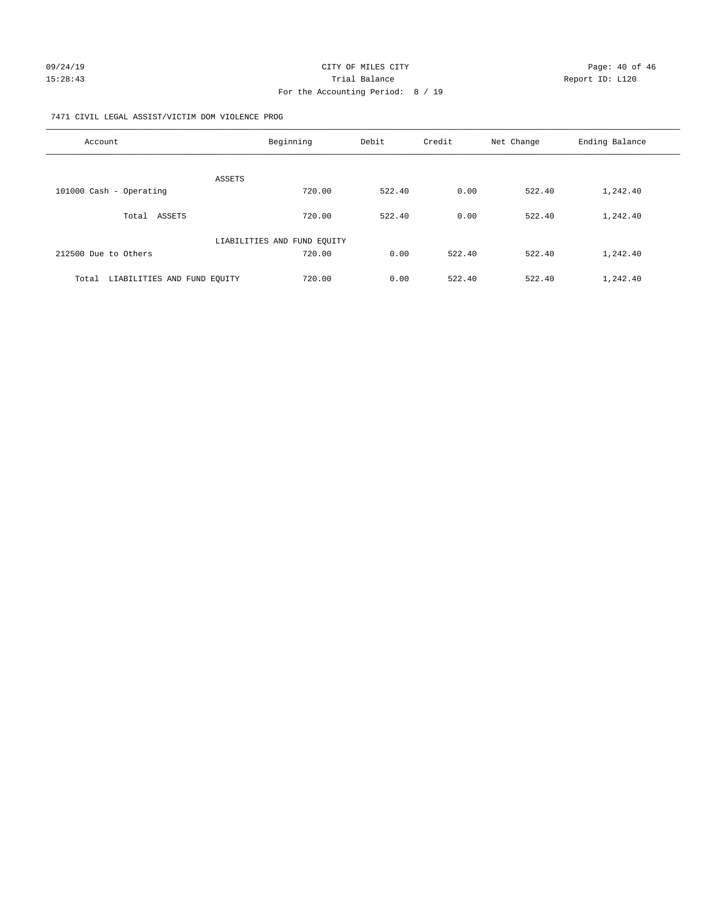#### 7471 CIVIL LEGAL ASSIST/VICTIM DOM VIOLENCE PROG

| Account                              | Beginning                   | Debit  | Credit | Net Change | Ending Balance |
|--------------------------------------|-----------------------------|--------|--------|------------|----------------|
| <b>ASSETS</b>                        |                             |        |        |            |                |
| 101000 Cash - Operating              | 720.00                      | 522.40 | 0.00   | 522.40     | 1,242.40       |
| ASSETS<br>Total                      | 720.00                      | 522.40 | 0.00   | 522.40     | 1,242.40       |
|                                      | LIABILITIES AND FUND EQUITY |        |        |            |                |
| 212500 Due to Others                 | 720.00                      | 0.00   | 522.40 | 522.40     | 1,242.40       |
| LIABILITIES AND FUND EQUITY<br>Total | 720.00                      | 0.00   | 522.40 | 522.40     | 1,242.40       |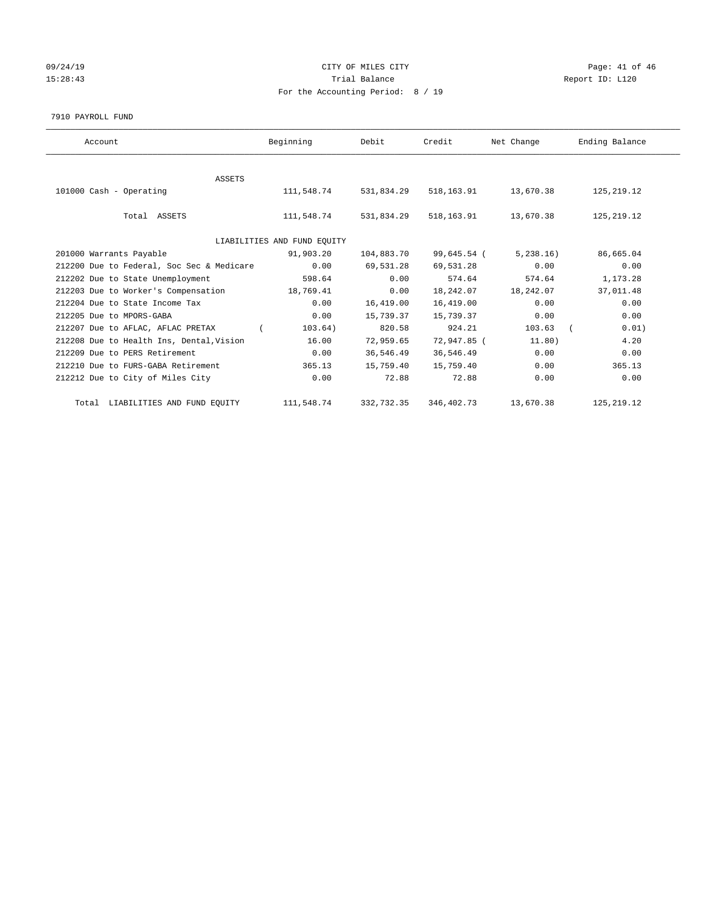# 09/24/19 CITY OF MILES CITY CHECK CONTROL CONTROL Page: 41 of 46 15:28:43 Trial Balance Trial Balance Report ID: L120 For the Accounting Period: 8 / 19

7910 PAYROLL FUND

| Account                                   | Beginning  | Debit      | Credit      | Net Change | Ending Balance |  |  |
|-------------------------------------------|------------|------------|-------------|------------|----------------|--|--|
|                                           |            |            |             |            |                |  |  |
| <b>ASSETS</b><br>101000 Cash - Operating  | 111,548.74 | 531,834.29 | 518,163.91  | 13,670.38  | 125,219.12     |  |  |
| Total ASSETS                              | 111,548.74 | 531,834.29 | 518,163.91  | 13,670.38  | 125, 219.12    |  |  |
| LIABILITIES AND FUND EQUITY               |            |            |             |            |                |  |  |
| 201000 Warrants Payable                   | 91,903.20  | 104,883.70 | 99,645.54 ( | 5,238.16)  | 86,665.04      |  |  |
| 212200 Due to Federal, Soc Sec & Medicare | 0.00       | 69,531.28  | 69,531.28   | 0.00       | 0.00           |  |  |
| 212202 Due to State Unemployment          | 598.64     | 0.00       | 574.64      | 574.64     | 1,173.28       |  |  |
| 212203 Due to Worker's Compensation       | 18,769.41  | 0.00       | 18,242.07   | 18,242.07  | 37,011.48      |  |  |
| 212204 Due to State Income Tax            | 0.00       | 16,419.00  | 16,419.00   | 0.00       | 0.00           |  |  |
| 212205 Due to MPORS-GABA                  | 0.00       | 15,739.37  | 15,739.37   | 0.00       | 0.00           |  |  |
| 212207 Due to AFLAC, AFLAC PRETAX         | 103.64)    | 820.58     | 924.21      | 103.63     | 0.01)          |  |  |
| 212208 Due to Health Ins, Dental, Vision  | 16.00      | 72,959.65  | 72,947.85 ( | 11.80)     | 4.20           |  |  |
| 212209 Due to PERS Retirement             | 0.00       | 36,546.49  | 36,546.49   | 0.00       | 0.00           |  |  |
| 212210 Due to FURS-GABA Retirement        | 365.13     | 15,759.40  | 15,759.40   | 0.00       | 365.13         |  |  |
| 212212 Due to City of Miles City          | 0.00       | 72.88      | 72.88       | 0.00       | 0.00           |  |  |
| Total LIABILITIES AND FUND EQUITY         | 111,548.74 | 332,732.35 | 346,402.73  | 13,670.38  | 125, 219.12    |  |  |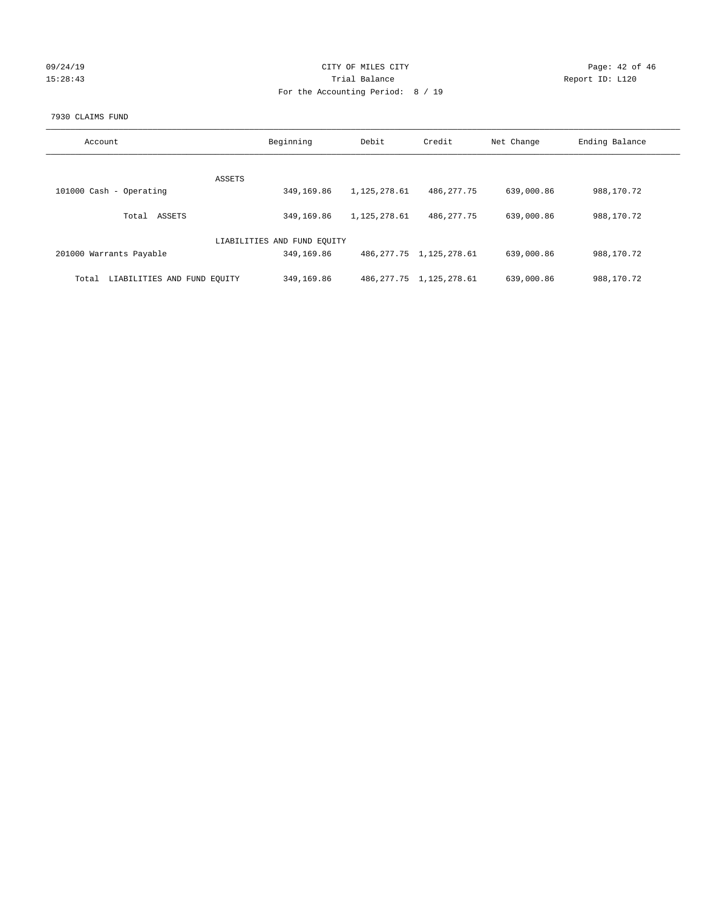| 09/24/19 |  |
|----------|--|
| 15:28:43 |  |

# CITY OF MILES CITY Page: 42 of 46<br>Trial Balance Report ID: L120 15:28:43 Trial Balance Report ID: L120 For the Accounting Period: 8 / 19

#### 7930 CLAIMS FUND

| Account                              | Beginning                   | Debit        | Credit                       | Net Change | Ending Balance |
|--------------------------------------|-----------------------------|--------------|------------------------------|------------|----------------|
|                                      |                             |              |                              |            |                |
| ASSETS                               |                             |              |                              |            |                |
| 101000 Cash - Operating              | 349,169.86                  | 1,125,278.61 | 486, 277. 75                 | 639,000.86 | 988,170.72     |
| ASSETS<br>Total                      | 349,169.86                  | 1,125,278.61 | 486, 277, 75                 | 639,000.86 | 988,170.72     |
|                                      | LIABILITIES AND FUND EQUITY |              |                              |            |                |
| 201000 Warrants Payable              | 349,169.86                  |              | 486, 277.75 1, 125, 278.61   | 639,000.86 | 988,170.72     |
| LIABILITIES AND FUND EQUITY<br>Total | 349,169.86                  |              | 486, 277. 75 1, 125, 278. 61 | 639,000.86 | 988, 170. 72   |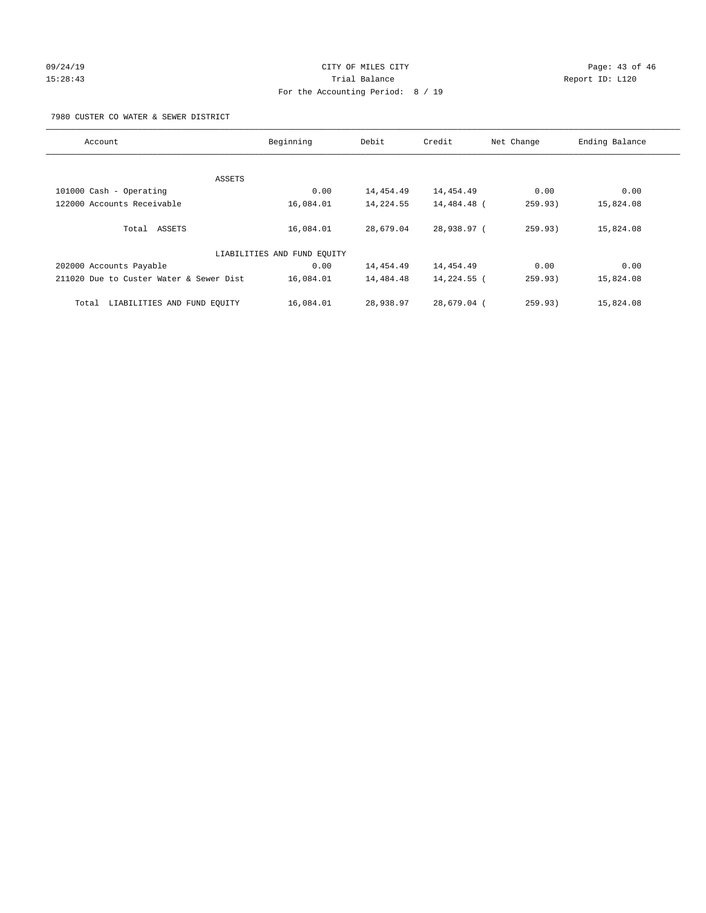# 09/24/19 Page: 43 of 46 15:28:43 Trial Balance Report ID: L120 For the Accounting Period: 8 / 19

7980 CUSTER CO WATER & SEWER DISTRICT

| Account                                 | Beginning                   | Debit     | Credit        | Net Change | Ending Balance |
|-----------------------------------------|-----------------------------|-----------|---------------|------------|----------------|
|                                         |                             |           |               |            |                |
| ASSETS                                  |                             |           |               |            |                |
| 101000 Cash - Operating                 | 0.00                        | 14,454.49 | 14,454.49     | 0.00       | 0.00           |
| 122000 Accounts Receivable              | 16,084.01                   | 14,224.55 | 14,484.48 (   | 259.93)    | 15,824.08      |
| Total ASSETS                            | 16,084.01                   | 28,679.04 | 28,938.97 (   | 259.93)    | 15,824.08      |
|                                         | LIABILITIES AND FUND EQUITY |           |               |            |                |
| 202000 Accounts Payable                 | 0.00                        | 14,454.49 | 14,454.49     | 0.00       | 0.00           |
| 211020 Due to Custer Water & Sewer Dist | 16,084.01                   | 14,484.48 | 14,224.55 (   | 259.93)    | 15,824.08      |
| LIABILITIES AND FUND EOUITY<br>Total    | 16,084.01                   | 28,938.97 | $28.679.04$ ( | 259.93)    | 15,824.08      |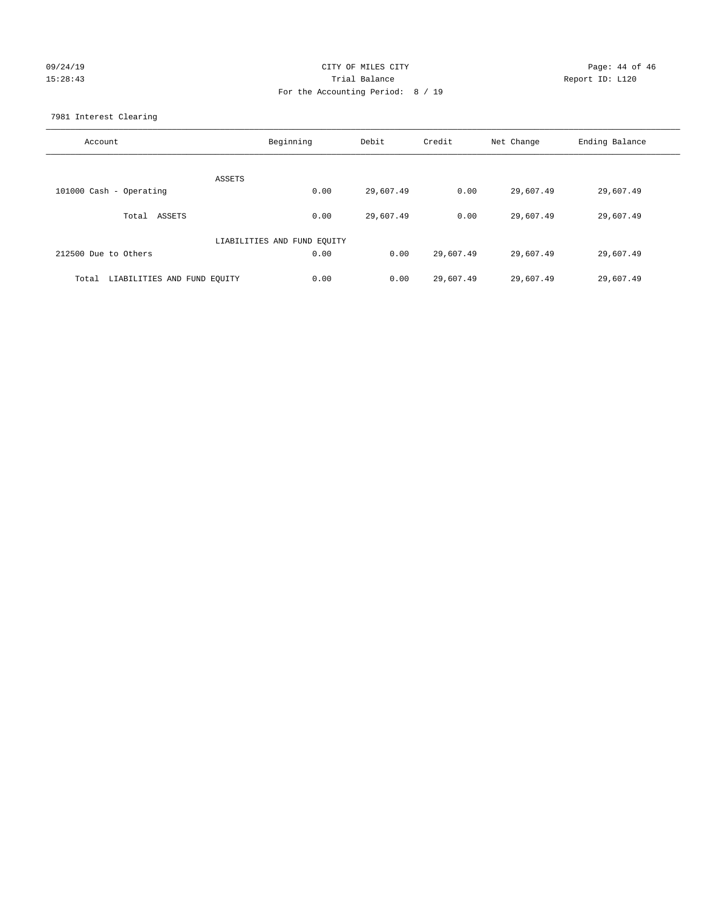# 09/24/19 CITY OF MILES CITY CHECK CONTROL Page: 44 of 46 15:28:43 Trial Balance Report ID: L120 For the Accounting Period: 8 / 19

7981 Interest Clearing

| Account                              | Beginning                   | Debit     | Credit    | Net Change | Ending Balance |
|--------------------------------------|-----------------------------|-----------|-----------|------------|----------------|
|                                      | ASSETS                      |           |           |            |                |
| 101000 Cash - Operating              | 0.00                        | 29,607.49 | 0.00      | 29,607.49  | 29,607.49      |
| Total ASSETS                         | 0.00                        | 29,607.49 | 0.00      | 29,607.49  | 29,607.49      |
|                                      | LIABILITIES AND FUND EQUITY |           |           |            |                |
| 212500 Due to Others                 | 0.00                        | 0.00      | 29,607.49 | 29,607.49  | 29,607.49      |
| LIABILITIES AND FUND EQUITY<br>Total | 0.00                        | 0.00      | 29,607.49 | 29,607.49  | 29,607.49      |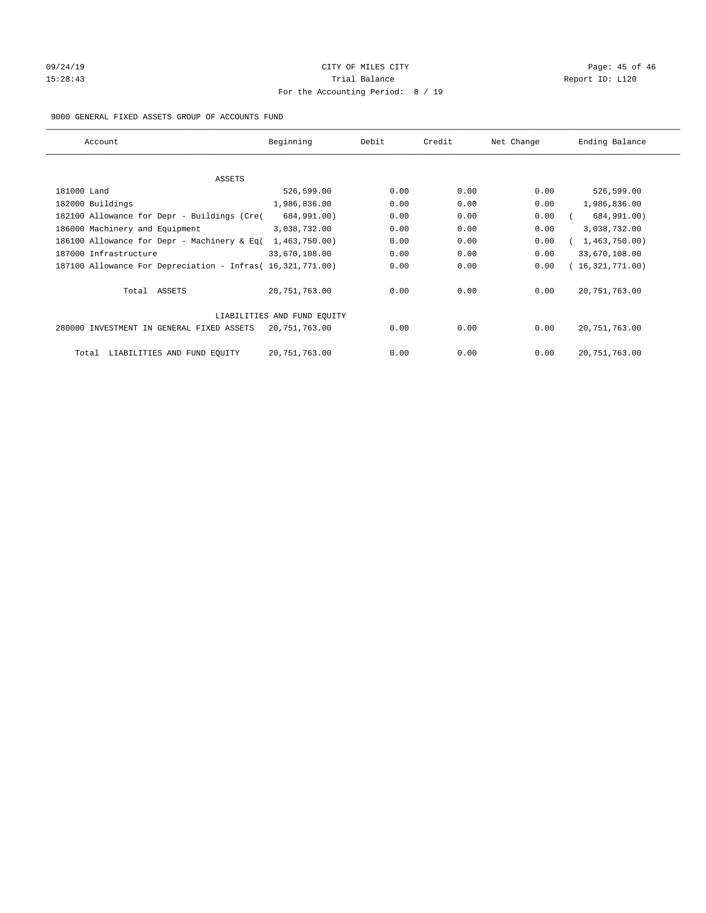# 09/24/19 Page: 45 of 46 15:28:43 Trial Balance Trial Balance Report ID: L120 For the Accounting Period: 8 / 19

#### 9000 GENERAL FIXED ASSETS GROUP OF ACCOUNTS FUND

| Account                                                    | Beginning                   | Debit | Credit | Net Change | Ending Balance  |
|------------------------------------------------------------|-----------------------------|-------|--------|------------|-----------------|
| ASSETS                                                     |                             |       |        |            |                 |
| 181000 Land                                                | 526,599.00                  | 0.00  | 0.00   | 0.00       | 526,599.00      |
| 182000 Buildings                                           | 1,986,836.00                | 0.00  | 0.00   | 0.00       | 1,986,836.00    |
| 182100 Allowance for Depr - Buildings (Cre(                | 684,991.00)                 | 0.00  | 0.00   | 0.00       | 684,991.00)     |
| 186000 Machinery and Equipment                             | 3,038,732.00                | 0.00  | 0.00   | 0.00       | 3,038,732.00    |
| 186100 Allowance for Depr - Machinery & Eq(                | 1,463,750.00)               | 0.00  | 0.00   | 0.00       | 1,463,750.00)   |
| 187000 Infrastructure                                      | 33,670,108.00               | 0.00  | 0.00   | 0.00       | 33,670,108.00   |
| 187100 Allowance For Depreciation - Infras( 16,321,771.00) |                             | 0.00  | 0.00   | 0.00       | 16,321,771.00)  |
| Total ASSETS                                               | 20,751,763.00               | 0.00  | 0.00   | 0.00       | 20, 751, 763.00 |
|                                                            | LIABILITIES AND FUND EQUITY |       |        |            |                 |
| 280000 INVESTMENT IN GENERAL FIXED ASSETS                  | 20,751,763.00               | 0.00  | 0.00   | 0.00       | 20, 751, 763.00 |
| LIABILITIES AND FUND EQUITY<br>Total                       | 20, 751, 763.00             | 0.00  | 0.00   | 0.00       | 20, 751, 763.00 |